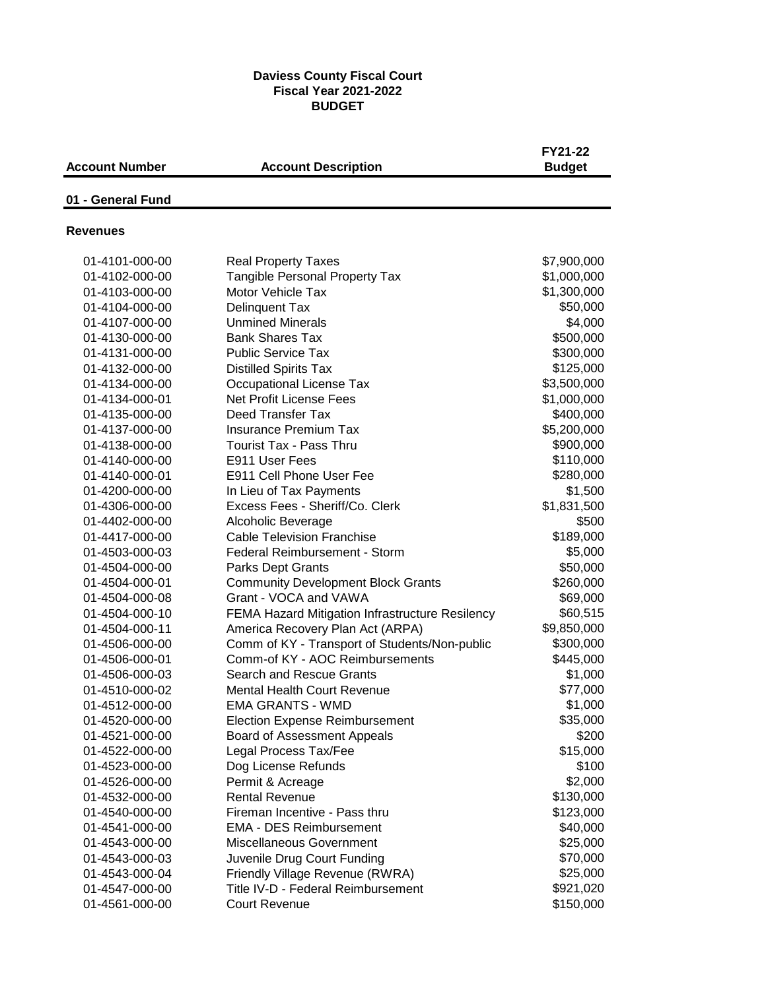#### **Daviess County Fiscal Court Fiscal Year 2021-2022 BUDGET**

|                       |                                                     | FY21-22       |
|-----------------------|-----------------------------------------------------|---------------|
| <b>Account Number</b> | <b>Account Description</b>                          | <b>Budget</b> |
| 01 - General Fund     |                                                     |               |
| <b>Revenues</b>       |                                                     |               |
|                       |                                                     |               |
| 01-4101-000-00        | <b>Real Property Taxes</b>                          | \$7,900,000   |
| 01-4102-000-00        | Tangible Personal Property Tax<br>Motor Vehicle Tax | \$1,000,000   |
| 01-4103-000-00        |                                                     | \$1,300,000   |
| 01-4104-000-00        | Delinquent Tax                                      | \$50,000      |
| 01-4107-000-00        | <b>Unmined Minerals</b>                             | \$4,000       |
| 01-4130-000-00        | <b>Bank Shares Tax</b>                              | \$500,000     |
| 01-4131-000-00        | <b>Public Service Tax</b>                           | \$300,000     |
| 01-4132-000-00        | <b>Distilled Spirits Tax</b>                        | \$125,000     |
| 01-4134-000-00        | Occupational License Tax                            | \$3,500,000   |
| 01-4134-000-01        | <b>Net Profit License Fees</b>                      | \$1,000,000   |
| 01-4135-000-00        | Deed Transfer Tax                                   | \$400,000     |
| 01-4137-000-00        | <b>Insurance Premium Tax</b>                        | \$5,200,000   |
| 01-4138-000-00        | <b>Tourist Tax - Pass Thru</b>                      | \$900,000     |
| 01-4140-000-00        | E911 User Fees                                      | \$110,000     |
| 01-4140-000-01        | E911 Cell Phone User Fee                            | \$280,000     |
| 01-4200-000-00        | In Lieu of Tax Payments                             | \$1,500       |
| 01-4306-000-00        | Excess Fees - Sheriff/Co. Clerk                     | \$1,831,500   |
| 01-4402-000-00        | Alcoholic Beverage                                  | \$500         |
| 01-4417-000-00        | <b>Cable Television Franchise</b>                   | \$189,000     |
| 01-4503-000-03        | <b>Federal Reimbursement - Storm</b>                | \$5,000       |
| 01-4504-000-00        | Parks Dept Grants                                   | \$50,000      |
| 01-4504-000-01        | <b>Community Development Block Grants</b>           | \$260,000     |
| 01-4504-000-08        | Grant - VOCA and VAWA                               | \$69,000      |
| 01-4504-000-10        | FEMA Hazard Mitigation Infrastructure Resilency     | \$60,515      |
| 01-4504-000-11        | America Recovery Plan Act (ARPA)                    | \$9,850,000   |
| 01-4506-000-00        | Comm of KY - Transport of Students/Non-public       | \$300,000     |
| 01-4506-000-01        | Comm-of KY - AOC Reimbursements                     | \$445,000     |
| 01-4506-000-03        | <b>Search and Rescue Grants</b>                     | \$1,000       |
| 01-4510-000-02        | Mental Health Court Revenue                         | \$77,000      |
| 01-4512-000-00        | <b>EMA GRANTS - WMD</b>                             | \$1,000       |
| 01-4520-000-00        | <b>Election Expense Reimbursement</b>               | \$35,000      |
| 01-4521-000-00        | Board of Assessment Appeals                         | \$200         |
| 01-4522-000-00        | Legal Process Tax/Fee                               | \$15,000      |
| 01-4523-000-00        | Dog License Refunds                                 | \$100         |
| 01-4526-000-00        | Permit & Acreage                                    | \$2,000       |
| 01-4532-000-00        | <b>Rental Revenue</b>                               | \$130,000     |
| 01-4540-000-00        | Fireman Incentive - Pass thru                       | \$123,000     |
| 01-4541-000-00        | <b>EMA - DES Reimbursement</b>                      | \$40,000      |
| 01-4543-000-00        | Miscellaneous Government                            | \$25,000      |
| 01-4543-000-03        | Juvenile Drug Court Funding                         | \$70,000      |
| 01-4543-000-04        | Friendly Village Revenue (RWRA)                     | \$25,000      |
| 01-4547-000-00        | Title IV-D - Federal Reimbursement                  | \$921,020     |
| 01-4561-000-00        | <b>Court Revenue</b>                                | \$150,000     |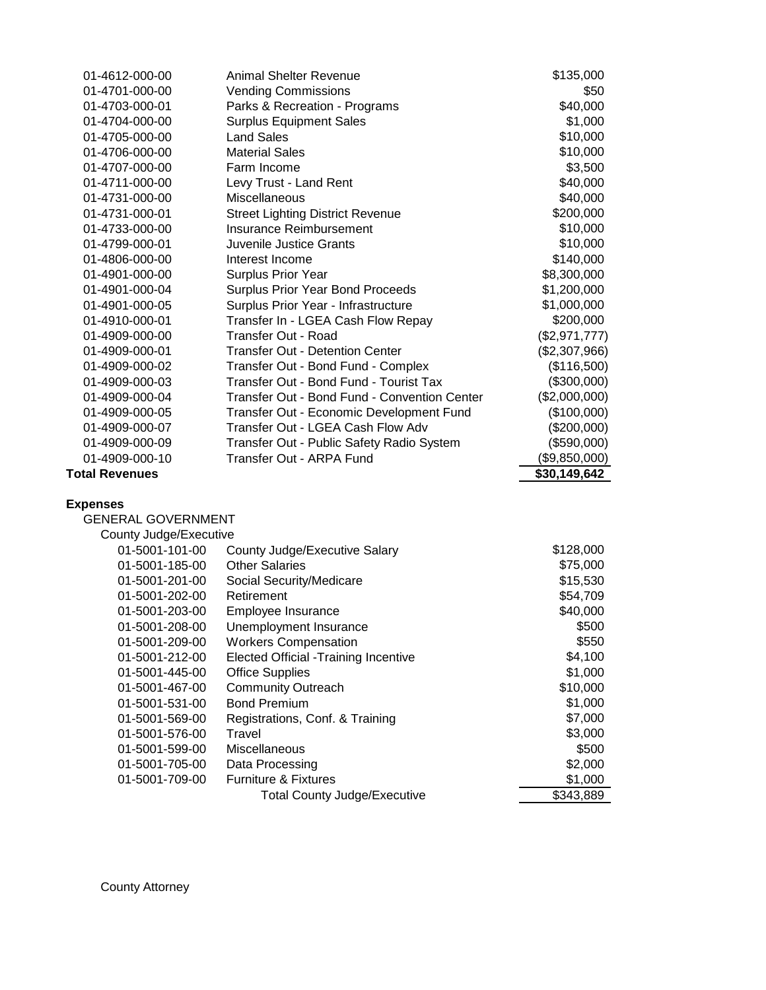| 01-4612-000-00            | <b>Animal Shelter Revenue</b>                | \$135,000     |
|---------------------------|----------------------------------------------|---------------|
| 01-4701-000-00            | <b>Vending Commissions</b>                   | \$50          |
| 01-4703-000-01            | Parks & Recreation - Programs                | \$40,000      |
| 01-4704-000-00            | <b>Surplus Equipment Sales</b>               | \$1,000       |
| 01-4705-000-00            | <b>Land Sales</b>                            | \$10,000      |
| 01-4706-000-00            | <b>Material Sales</b>                        | \$10,000      |
| 01-4707-000-00            | Farm Income                                  | \$3,500       |
| 01-4711-000-00            | Levy Trust - Land Rent                       | \$40,000      |
| 01-4731-000-00            | Miscellaneous                                | \$40,000      |
| 01-4731-000-01            | <b>Street Lighting District Revenue</b>      | \$200,000     |
| 01-4733-000-00            | <b>Insurance Reimbursement</b>               | \$10,000      |
| 01-4799-000-01            | Juvenile Justice Grants                      | \$10,000      |
| 01-4806-000-00            | Interest Income                              | \$140,000     |
| 01-4901-000-00            | Surplus Prior Year                           | \$8,300,000   |
| 01-4901-000-04            | Surplus Prior Year Bond Proceeds             | \$1,200,000   |
| 01-4901-000-05            | Surplus Prior Year - Infrastructure          | \$1,000,000   |
| 01-4910-000-01            | Transfer In - LGEA Cash Flow Repay           | \$200,000     |
| 01-4909-000-00            | Transfer Out - Road                          | (\$2,971,777) |
| 01-4909-000-01            | <b>Transfer Out - Detention Center</b>       | (\$2,307,966) |
| 01-4909-000-02            | Transfer Out - Bond Fund - Complex           | (\$116,500)   |
| 01-4909-000-03            | Transfer Out - Bond Fund - Tourist Tax       | (\$300,000)   |
| 01-4909-000-04            | Transfer Out - Bond Fund - Convention Center | (\$2,000,000) |
| 01-4909-000-05            | Transfer Out - Economic Development Fund     | (\$100,000)   |
| 01-4909-000-07            | Transfer Out - LGEA Cash Flow Adv            | (\$200,000)   |
| 01-4909-000-09            | Transfer Out - Public Safety Radio System    | (\$590,000)   |
| 01-4909-000-10            | Transfer Out - ARPA Fund                     | (\$9,850,000) |
| <b>Total Revenues</b>     |                                              | \$30,149,642  |
| <b>Expenses</b>           |                                              |               |
| <b>GENERAL GOVERNMENT</b> |                                              |               |
| County Judge/Executive    |                                              |               |
| 01-5001-101-00            | County Judge/Executive Salary                | \$128,000     |
| 01-5001-185-00            | <b>Other Salaries</b>                        | \$75,000      |
| 01-5001-201-00            | Social Security/Medicare                     | \$15,530      |
| 01-5001-202-00            | Retirement                                   | \$54,709      |
| 01-5001-203-00            | Employee Insurance                           | \$40,000      |
| 01-5001-208-00            | Unemployment Insurance                       | \$500         |
| 01-5001-209-00            | <b>Workers Compensation</b>                  | \$550         |
| 01-5001-212-00            | <b>Elected Official -Training Incentive</b>  | \$4,100       |
| 01-5001-445-00            | <b>Office Supplies</b>                       | \$1,000       |
| 01-5001-467-00            | <b>Community Outreach</b>                    | \$10,000      |
| 01-5001-531-00            | <b>Bond Premium</b>                          | \$1,000       |
| 01-5001-569-00            | Registrations, Conf. & Training              | \$7,000       |
| 01-5001-576-00            | Travel                                       | \$3,000       |
| 01-5001-599-00            | Miscellaneous                                | \$500         |
| 01-5001-705-00            | Data Processing                              | \$2,000       |
| 01-5001-709-00            | <b>Furniture &amp; Fixtures</b>              | \$1,000       |
|                           | <b>Total County Judge/Executive</b>          | \$343,889     |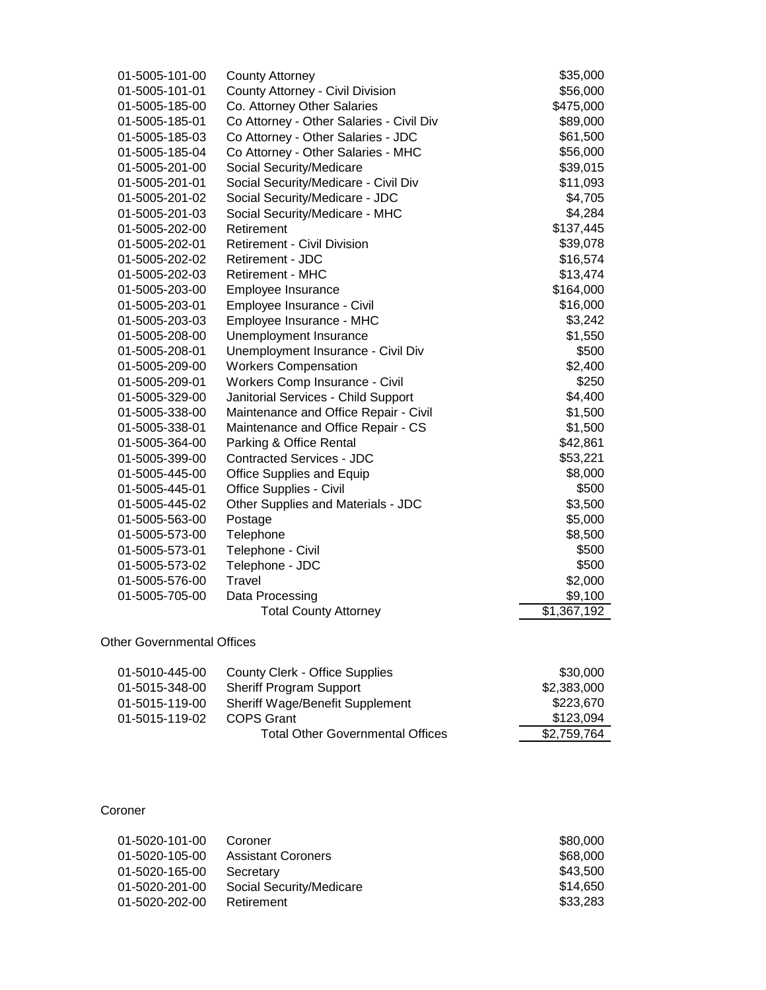| 01-5005-101-00 | <b>County Attorney</b>                   | \$35,000                |
|----------------|------------------------------------------|-------------------------|
| 01-5005-101-01 | County Attorney - Civil Division         | \$56,000                |
| 01-5005-185-00 | Co. Attorney Other Salaries              | \$475,000               |
| 01-5005-185-01 | Co Attorney - Other Salaries - Civil Div | \$89,000                |
| 01-5005-185-03 | Co Attorney - Other Salaries - JDC       | \$61,500                |
| 01-5005-185-04 | Co Attorney - Other Salaries - MHC       | \$56,000                |
| 01-5005-201-00 | Social Security/Medicare                 | \$39,015                |
| 01-5005-201-01 | Social Security/Medicare - Civil Div     | \$11,093                |
| 01-5005-201-02 | Social Security/Medicare - JDC           | \$4,705                 |
| 01-5005-201-03 | Social Security/Medicare - MHC           | \$4,284                 |
| 01-5005-202-00 | Retirement                               | \$137,445               |
| 01-5005-202-01 | <b>Retirement - Civil Division</b>       | \$39,078                |
| 01-5005-202-02 | Retirement - JDC                         | \$16,574                |
| 01-5005-202-03 | <b>Retirement - MHC</b>                  | \$13,474                |
| 01-5005-203-00 | Employee Insurance                       | \$164,000               |
| 01-5005-203-01 | Employee Insurance - Civil               | \$16,000                |
| 01-5005-203-03 | Employee Insurance - MHC                 | \$3,242                 |
| 01-5005-208-00 | Unemployment Insurance                   | \$1,550                 |
| 01-5005-208-01 | Unemployment Insurance - Civil Div       | \$500                   |
| 01-5005-209-00 | <b>Workers Compensation</b>              | \$2,400                 |
| 01-5005-209-01 | Workers Comp Insurance - Civil           | \$250                   |
| 01-5005-329-00 | Janitorial Services - Child Support      | \$4,400                 |
| 01-5005-338-00 | Maintenance and Office Repair - Civil    | \$1,500                 |
| 01-5005-338-01 | Maintenance and Office Repair - CS       | \$1,500                 |
| 01-5005-364-00 | Parking & Office Rental                  | \$42,861                |
| 01-5005-399-00 | <b>Contracted Services - JDC</b>         | \$53,221                |
| 01-5005-445-00 | <b>Office Supplies and Equip</b>         | \$8,000                 |
| 01-5005-445-01 | Office Supplies - Civil                  | \$500                   |
| 01-5005-445-02 | Other Supplies and Materials - JDC       | \$3,500                 |
| 01-5005-563-00 | Postage                                  | \$5,000                 |
| 01-5005-573-00 | Telephone                                | \$8,500                 |
| 01-5005-573-01 | Telephone - Civil                        | \$500                   |
| 01-5005-573-02 | Telephone - JDC                          | \$500                   |
| 01-5005-576-00 | Travel                                   | \$2,000                 |
| 01-5005-705-00 | Data Processing                          | \$9,100                 |
|                | <b>Total County Attorney</b>             | $\overline{$}1,367,192$ |
|                |                                          |                         |

#### Other Governmental Offices

| 01-5010-445-00 | County Clerk - Office Supplies          | \$30,000    |
|----------------|-----------------------------------------|-------------|
| 01-5015-348-00 | <b>Sheriff Program Support</b>          | \$2,383,000 |
| 01-5015-119-00 | Sheriff Wage/Benefit Supplement         | \$223,670   |
| 01-5015-119-02 | COPS Grant                              | \$123,094   |
|                | <b>Total Other Governmental Offices</b> | \$2,759,764 |

#### Coroner

| 01-5020-101-00 | Coroner                   | \$80,000 |
|----------------|---------------------------|----------|
| 01-5020-105-00 | <b>Assistant Coroners</b> | \$68,000 |
| 01-5020-165-00 | Secretary                 | \$43,500 |
| 01-5020-201-00 | Social Security/Medicare  | \$14,650 |
| 01-5020-202-00 | Retirement                | \$33,283 |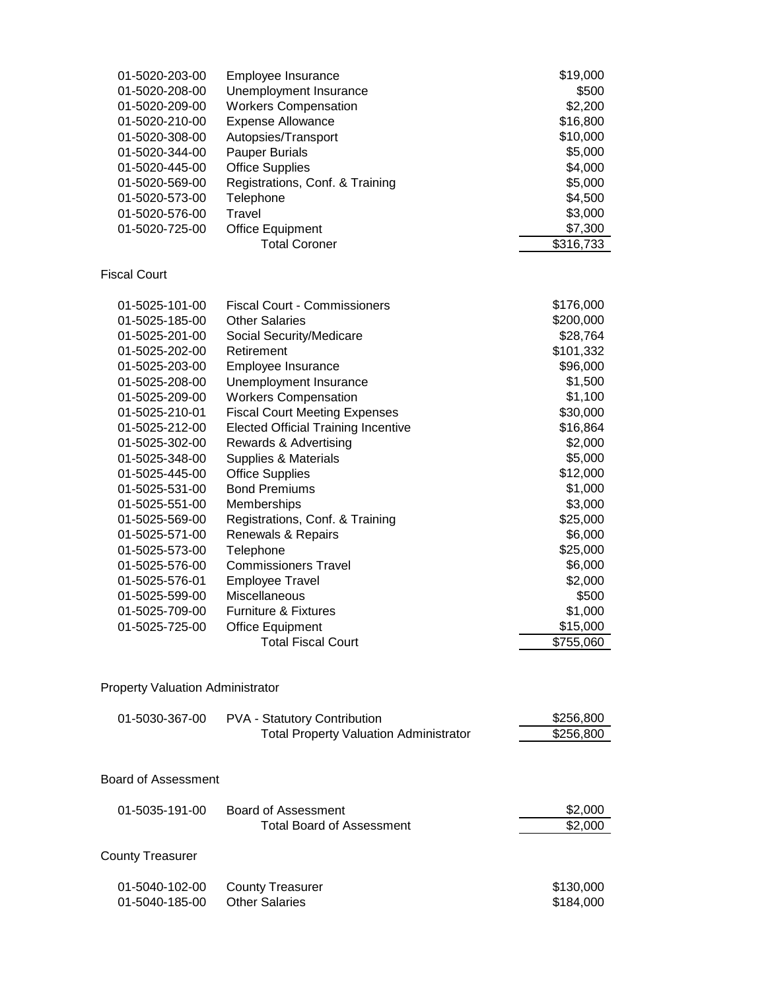| 01-5020-203-00                   | Employee Insurance                            | \$19,000              |
|----------------------------------|-----------------------------------------------|-----------------------|
| 01-5020-208-00                   | Unemployment Insurance                        | \$500                 |
| 01-5020-209-00                   | <b>Workers Compensation</b>                   | \$2,200               |
| 01-5020-210-00                   | <b>Expense Allowance</b>                      | \$16,800              |
| 01-5020-308-00                   | Autopsies/Transport                           | \$10,000              |
| 01-5020-344-00                   | <b>Pauper Burials</b>                         | \$5,000               |
| 01-5020-445-00                   | <b>Office Supplies</b>                        | \$4,000               |
| 01-5020-569-00                   | Registrations, Conf. & Training               | \$5,000               |
| 01-5020-573-00                   | Telephone                                     | \$4,500               |
| 01-5020-576-00                   | Travel                                        | \$3,000               |
| 01-5020-725-00                   | <b>Office Equipment</b>                       | \$7,300               |
|                                  | <b>Total Coroner</b>                          | \$316,733             |
| <b>Fiscal Court</b>              |                                               |                       |
|                                  | <b>Fiscal Court - Commissioners</b>           | \$176,000             |
| 01-5025-101-00<br>01-5025-185-00 | <b>Other Salaries</b>                         |                       |
| 01-5025-201-00                   |                                               | \$200,000<br>\$28,764 |
|                                  | Social Security/Medicare                      |                       |
| 01-5025-202-00                   | Retirement                                    | \$101,332             |
| 01-5025-203-00                   | Employee Insurance                            | \$96,000              |
| 01-5025-208-00                   | Unemployment Insurance                        | \$1,500               |
| 01-5025-209-00                   | <b>Workers Compensation</b>                   | \$1,100               |
| 01-5025-210-01                   | <b>Fiscal Court Meeting Expenses</b>          | \$30,000              |
| 01-5025-212-00                   | <b>Elected Official Training Incentive</b>    | \$16,864              |
| 01-5025-302-00                   | Rewards & Advertising                         | \$2,000               |
| 01-5025-348-00                   | Supplies & Materials                          | \$5,000               |
| 01-5025-445-00                   | <b>Office Supplies</b>                        | \$12,000              |
| 01-5025-531-00                   | <b>Bond Premiums</b>                          | \$1,000               |
| 01-5025-551-00                   | Memberships                                   | \$3,000               |
| 01-5025-569-00                   | Registrations, Conf. & Training               | \$25,000              |
| 01-5025-571-00                   | Renewals & Repairs                            | \$6,000               |
| 01-5025-573-00                   | Telephone                                     | \$25,000              |
| 01-5025-576-00                   | <b>Commissioners Travel</b>                   | \$6,000               |
| 01-5025-576-01                   | <b>Employee Travel</b>                        | \$2,000               |
| 01-5025-599-00                   | Miscellaneous                                 | \$500                 |
| 01-5025-709-00                   | <b>Furniture &amp; Fixtures</b>               | \$1,000               |
| 01-5025-725-00                   | <b>Office Equipment</b>                       | \$15,000              |
|                                  | <b>Total Fiscal Court</b>                     | \$755,060             |
| Property Valuation Administrator |                                               |                       |
| 01-5030-367-00                   | PVA - Statutory Contribution                  | \$256,800             |
|                                  | <b>Total Property Valuation Administrator</b> | \$256,800             |
|                                  |                                               |                       |
| <b>Board of Assessment</b>       |                                               |                       |
| 01-5035-191-00                   | <b>Board of Assessment</b>                    | \$2,000               |
|                                  | <b>Total Board of Assessment</b>              | \$2,000               |
| <b>County Treasurer</b>          |                                               |                       |
| 01-5040-102-00                   | <b>County Treasurer</b>                       | \$130,000             |
| 01-5040-185-00                   | <b>Other Salaries</b>                         | \$184,000             |
|                                  |                                               |                       |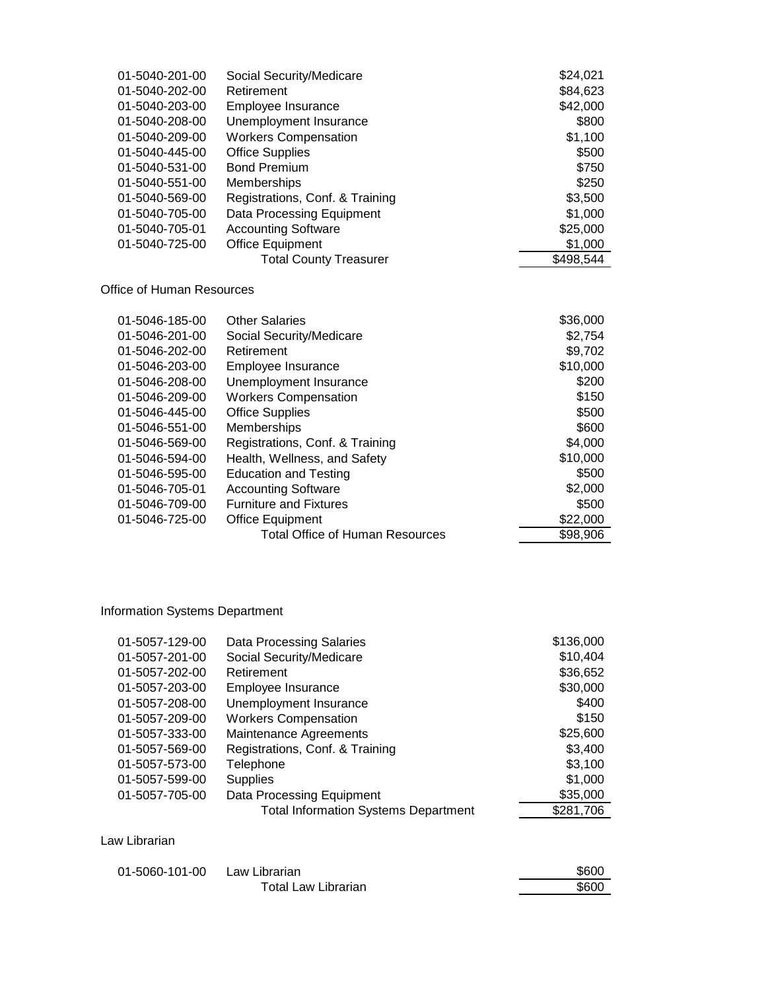| 01-5040-201-00 | Social Security/Medicare        | \$24,021  |
|----------------|---------------------------------|-----------|
| 01-5040-202-00 | Retirement                      | \$84,623  |
| 01-5040-203-00 | Employee Insurance              | \$42,000  |
| 01-5040-208-00 | Unemployment Insurance          | \$800     |
| 01-5040-209-00 | <b>Workers Compensation</b>     | \$1,100   |
| 01-5040-445-00 | <b>Office Supplies</b>          | \$500     |
| 01-5040-531-00 | <b>Bond Premium</b>             | \$750     |
| 01-5040-551-00 | Memberships                     | \$250     |
| 01-5040-569-00 | Registrations, Conf. & Training | \$3,500   |
| 01-5040-705-00 | Data Processing Equipment       | \$1,000   |
| 01-5040-705-01 | <b>Accounting Software</b>      | \$25,000  |
| 01-5040-725-00 | Office Equipment                | \$1,000   |
|                | <b>Total County Treasurer</b>   | \$498,544 |
|                |                                 |           |

Office of Human Resources

| 01-5046-185-00 | <b>Other Salaries</b>                  | \$36,000 |
|----------------|----------------------------------------|----------|
| 01-5046-201-00 | Social Security/Medicare               | \$2,754  |
| 01-5046-202-00 | Retirement                             | \$9,702  |
| 01-5046-203-00 | Employee Insurance                     | \$10,000 |
| 01-5046-208-00 | Unemployment Insurance                 | \$200    |
| 01-5046-209-00 | <b>Workers Compensation</b>            | \$150    |
| 01-5046-445-00 | <b>Office Supplies</b>                 | \$500    |
| 01-5046-551-00 | Memberships                            | \$600    |
| 01-5046-569-00 | Registrations, Conf. & Training        | \$4,000  |
| 01-5046-594-00 | Health, Wellness, and Safety           | \$10,000 |
| 01-5046-595-00 | <b>Education and Testing</b>           | \$500    |
| 01-5046-705-01 | <b>Accounting Software</b>             | \$2,000  |
| 01-5046-709-00 | <b>Furniture and Fixtures</b>          | \$500    |
| 01-5046-725-00 | <b>Office Equipment</b>                | \$22,000 |
|                | <b>Total Office of Human Resources</b> | \$98,906 |

# Information Systems Department

| 01-5057-129-00 | <b>Data Processing Salaries</b>             | \$136,000 |
|----------------|---------------------------------------------|-----------|
| 01-5057-201-00 | Social Security/Medicare                    | \$10,404  |
| 01-5057-202-00 | Retirement                                  | \$36,652  |
| 01-5057-203-00 | Employee Insurance                          | \$30,000  |
| 01-5057-208-00 | Unemployment Insurance                      | \$400     |
| 01-5057-209-00 | <b>Workers Compensation</b>                 | \$150     |
| 01-5057-333-00 | Maintenance Agreements                      | \$25,600  |
| 01-5057-569-00 | Registrations, Conf. & Training             | \$3,400   |
| 01-5057-573-00 | Telephone                                   | \$3,100   |
| 01-5057-599-00 | <b>Supplies</b>                             | \$1,000   |
| 01-5057-705-00 | Data Processing Equipment                   | \$35,000  |
|                | <b>Total Information Systems Department</b> | \$281,706 |

## Law Librarian

| 01-5060-101-00 Law Librarian |                     | \$600 |
|------------------------------|---------------------|-------|
|                              | Total Law Librarian | \$600 |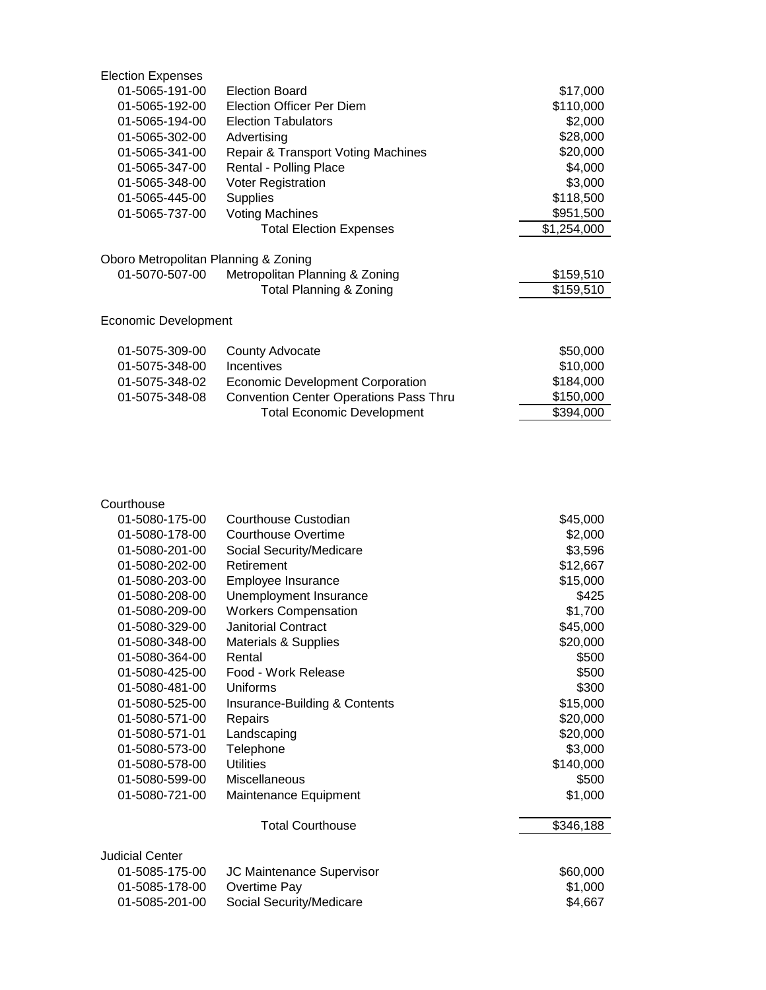| <b>Election Expenses</b>             |                                               |             |
|--------------------------------------|-----------------------------------------------|-------------|
| 01-5065-191-00                       | <b>Election Board</b>                         | \$17,000    |
| 01-5065-192-00                       | <b>Election Officer Per Diem</b>              | \$110,000   |
| 01-5065-194-00                       | <b>Election Tabulators</b>                    | \$2,000     |
| 01-5065-302-00                       | Advertising                                   | \$28,000    |
| 01-5065-341-00                       | <b>Repair &amp; Transport Voting Machines</b> | \$20,000    |
| 01-5065-347-00                       | Rental - Polling Place                        | \$4,000     |
| 01-5065-348-00                       | <b>Voter Registration</b>                     | \$3,000     |
| 01-5065-445-00                       | <b>Supplies</b>                               | \$118,500   |
| 01-5065-737-00                       | <b>Voting Machines</b>                        | \$951,500   |
|                                      | <b>Total Election Expenses</b>                | \$1,254,000 |
| Oboro Metropolitan Planning & Zoning |                                               |             |
| 01-5070-507-00                       | Metropolitan Planning & Zoning                | \$159,510   |
|                                      | Total Planning & Zoning                       | \$159,510   |
| Economic Development                 |                                               |             |
| 01-5075-309-00                       | County Advocate                               | \$50,000    |
| 01-5075-348-00                       | <b>Incentives</b>                             | \$10,000    |
| 01-5075-348-02                       | <b>Economic Development Corporation</b>       | \$184,000   |
| 01-5075-348-08                       | <b>Convention Center Operations Pass Thru</b> | \$150,000   |
|                                      | <b>Total Economic Development</b>             | \$394,000   |

| Courthouse             |                                 |           |
|------------------------|---------------------------------|-----------|
| 01-5080-175-00         | Courthouse Custodian            | \$45,000  |
| 01-5080-178-00         | Courthouse Overtime             | \$2,000   |
| 01-5080-201-00         | Social Security/Medicare        | \$3,596   |
| 01-5080-202-00         | Retirement                      | \$12,667  |
| 01-5080-203-00         | Employee Insurance              | \$15,000  |
| 01-5080-208-00         | Unemployment Insurance          | \$425     |
| 01-5080-209-00         | <b>Workers Compensation</b>     | \$1,700   |
| 01-5080-329-00         | <b>Janitorial Contract</b>      | \$45,000  |
| 01-5080-348-00         | <b>Materials &amp; Supplies</b> | \$20,000  |
| 01-5080-364-00         | Rental                          | \$500     |
| 01-5080-425-00         | Food - Work Release             | \$500     |
| 01-5080-481-00         | Uniforms                        | \$300     |
| 01-5080-525-00         | Insurance-Building & Contents   | \$15,000  |
| 01-5080-571-00         | Repairs                         | \$20,000  |
| 01-5080-571-01         | Landscaping                     | \$20,000  |
| 01-5080-573-00         | Telephone                       | \$3,000   |
| 01-5080-578-00         | <b>Utilities</b>                | \$140,000 |
| 01-5080-599-00         | Miscellaneous                   | \$500     |
| 01-5080-721-00         | Maintenance Equipment           | \$1,000   |
|                        | <b>Total Courthouse</b>         | \$346,188 |
| <b>Judicial Center</b> |                                 |           |
| 01-5085-175-00         | JC Maintenance Supervisor       | \$60,000  |
| 01-5085-178-00         | Overtime Pay                    | \$1,000   |
| 01-5085-201-00         | Social Security/Medicare        | \$4,667   |
|                        |                                 |           |
|                        |                                 |           |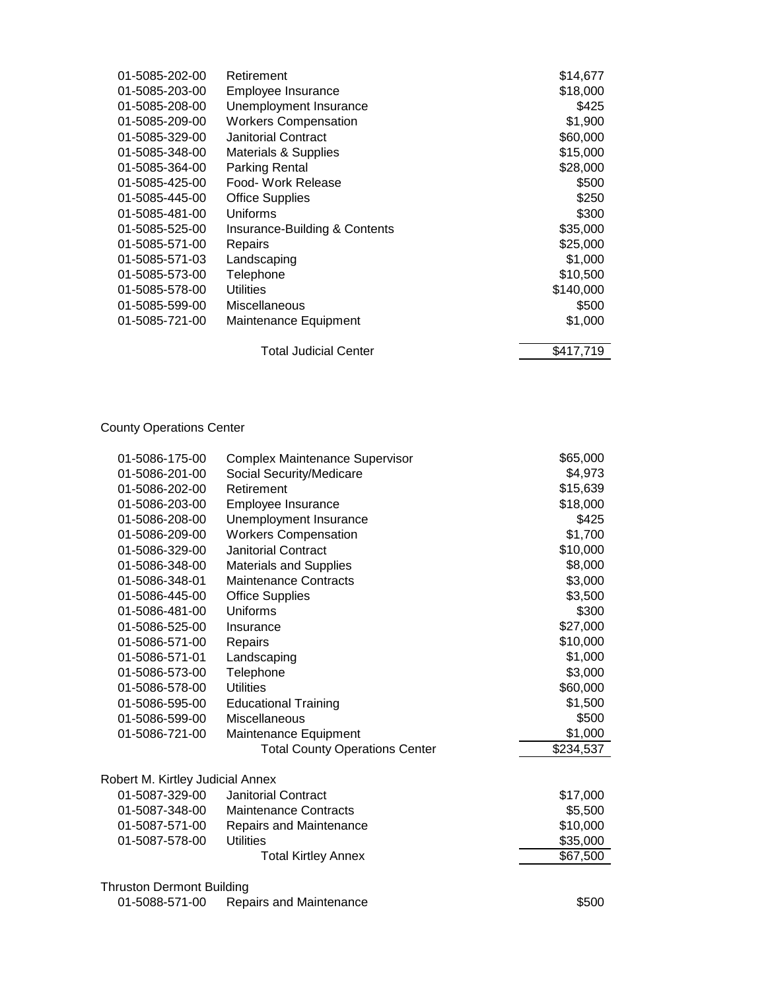| 01-5085-202-00 | Retirement                      | \$14,677  |
|----------------|---------------------------------|-----------|
| 01-5085-203-00 | Employee Insurance              | \$18,000  |
| 01-5085-208-00 | Unemployment Insurance          | \$425     |
| 01-5085-209-00 | <b>Workers Compensation</b>     | \$1,900   |
| 01-5085-329-00 | <b>Janitorial Contract</b>      | \$60,000  |
| 01-5085-348-00 | <b>Materials &amp; Supplies</b> | \$15,000  |
| 01-5085-364-00 | <b>Parking Rental</b>           | \$28,000  |
| 01-5085-425-00 | Food- Work Release              | \$500     |
| 01-5085-445-00 | <b>Office Supplies</b>          | \$250     |
| 01-5085-481-00 | Uniforms                        | \$300     |
| 01-5085-525-00 | Insurance-Building & Contents   | \$35,000  |
| 01-5085-571-00 | Repairs                         | \$25,000  |
| 01-5085-571-03 | Landscaping                     | \$1,000   |
| 01-5085-573-00 | Telephone                       | \$10,500  |
| 01-5085-578-00 | <b>Utilities</b>                | \$140,000 |
| 01-5085-599-00 | Miscellaneous                   | \$500     |
| 01-5085-721-00 | Maintenance Equipment           | \$1,000   |
|                | <b>Total Judicial Center</b>    | \$417,719 |
|                |                                 |           |

County Operations Center

| 01-5086-175-00                   | Complex Maintenance Supervisor        | \$65,000  |
|----------------------------------|---------------------------------------|-----------|
| 01-5086-201-00                   | Social Security/Medicare              | \$4,973   |
| 01-5086-202-00                   | Retirement                            | \$15,639  |
| 01-5086-203-00                   | Employee Insurance                    | \$18,000  |
| 01-5086-208-00                   | Unemployment Insurance                | \$425     |
| 01-5086-209-00                   | <b>Workers Compensation</b>           | \$1,700   |
| 01-5086-329-00                   | <b>Janitorial Contract</b>            | \$10,000  |
| 01-5086-348-00                   | <b>Materials and Supplies</b>         | \$8,000   |
| 01-5086-348-01                   | <b>Maintenance Contracts</b>          | \$3,000   |
| 01-5086-445-00                   | <b>Office Supplies</b>                | \$3,500   |
| 01-5086-481-00                   | Uniforms                              | \$300     |
| 01-5086-525-00                   | Insurance                             | \$27,000  |
| 01-5086-571-00                   | Repairs                               | \$10,000  |
| 01-5086-571-01                   | Landscaping                           | \$1,000   |
| 01-5086-573-00                   | Telephone                             | \$3,000   |
| 01-5086-578-00                   | <b>Utilities</b>                      | \$60,000  |
| 01-5086-595-00                   | <b>Educational Training</b>           | \$1,500   |
| 01-5086-599-00                   | Miscellaneous                         | \$500     |
| 01-5086-721-00                   | Maintenance Equipment                 | \$1,000   |
|                                  | <b>Total County Operations Center</b> | \$234,537 |
| Robert M. Kirtley Judicial Annex |                                       |           |
| 01-5087-329-00                   | <b>Janitorial Contract</b>            | \$17,000  |
| 01-5087-348-00                   | <b>Maintenance Contracts</b>          | \$5,500   |
| 01-5087-571-00                   | Repairs and Maintenance               | \$10,000  |
| 01-5087-578-00                   | Utilities                             | \$35,000  |
|                                  | <b>Total Kirtley Annex</b>            | \$67,500  |
| <b>Thruston Dermont Building</b> |                                       |           |
| 01-5088-571-00                   | Repairs and Maintenance               | \$500     |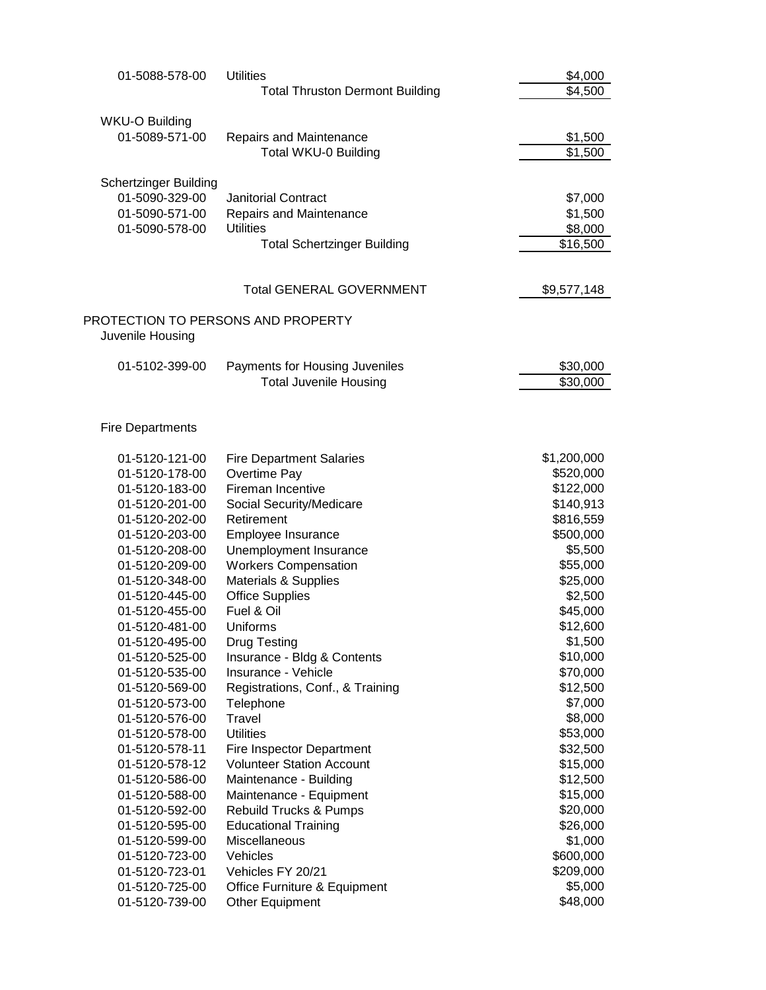| 01-5088-578-00                          | <b>Utilities</b>                       | \$4,000     |
|-----------------------------------------|----------------------------------------|-------------|
|                                         | <b>Total Thruston Dermont Building</b> | \$4,500     |
|                                         |                                        |             |
| <b>WKU-O Building</b><br>01-5089-571-00 | <b>Repairs and Maintenance</b>         | \$1,500     |
|                                         | <b>Total WKU-0 Building</b>            | \$1,500     |
|                                         |                                        |             |
| <b>Schertzinger Building</b>            |                                        |             |
| 01-5090-329-00                          | <b>Janitorial Contract</b>             | \$7,000     |
| 01-5090-571-00                          | Repairs and Maintenance                | \$1,500     |
| 01-5090-578-00                          | <b>Utilities</b>                       | \$8,000     |
|                                         | <b>Total Schertzinger Building</b>     | \$16,500    |
|                                         |                                        |             |
|                                         | <b>Total GENERAL GOVERNMENT</b>        | \$9,577,148 |
| PROTECTION TO PERSONS AND PROPERTY      |                                        |             |
| Juvenile Housing                        |                                        |             |
|                                         |                                        |             |
| 01-5102-399-00                          | Payments for Housing Juveniles         | \$30,000    |
|                                         | <b>Total Juvenile Housing</b>          | \$30,000    |
|                                         |                                        |             |
| <b>Fire Departments</b>                 |                                        |             |
|                                         |                                        |             |
| 01-5120-121-00                          | <b>Fire Department Salaries</b>        | \$1,200,000 |
| 01-5120-178-00                          | Overtime Pay                           | \$520,000   |
| 01-5120-183-00                          | Fireman Incentive                      | \$122,000   |
| 01-5120-201-00                          | Social Security/Medicare               | \$140,913   |
| 01-5120-202-00                          | Retirement                             | \$816,559   |
| 01-5120-203-00                          | Employee Insurance                     | \$500,000   |
| 01-5120-208-00                          | Unemployment Insurance                 | \$5,500     |
| 01-5120-209-00                          | <b>Workers Compensation</b>            | \$55,000    |
| 01-5120-348-00                          | <b>Materials &amp; Supplies</b>        | \$25,000    |
| 01-5120-445-00                          | <b>Office Supplies</b>                 | \$2,500     |
| 01-5120-455-00                          | Fuel & Oil                             | \$45,000    |
| 01-5120-481-00                          | Uniforms                               | \$12,600    |
| 01-5120-495-00                          | <b>Drug Testing</b>                    | \$1,500     |
| 01-5120-525-00                          | Insurance - Bldg & Contents            | \$10,000    |
| 01-5120-535-00                          | Insurance - Vehicle                    | \$70,000    |
| 01-5120-569-00                          | Registrations, Conf., & Training       | \$12,500    |
| 01-5120-573-00                          | Telephone                              | \$7,000     |
| 01-5120-576-00                          | Travel                                 | \$8,000     |
| 01-5120-578-00                          | <b>Utilities</b>                       | \$53,000    |
| 01-5120-578-11                          | Fire Inspector Department              | \$32,500    |
| 01-5120-578-12                          | <b>Volunteer Station Account</b>       | \$15,000    |
| 01-5120-586-00                          | Maintenance - Building                 | \$12,500    |
| 01-5120-588-00                          | Maintenance - Equipment                | \$15,000    |
| 01-5120-592-00                          | Rebuild Trucks & Pumps                 | \$20,000    |
| 01-5120-595-00                          | <b>Educational Training</b>            | \$26,000    |
| 01-5120-599-00                          | Miscellaneous                          | \$1,000     |
| 01-5120-723-00                          | Vehicles                               | \$600,000   |
| 01-5120-723-01                          | Vehicles FY 20/21                      | \$209,000   |
| 01-5120-725-00                          | Office Furniture & Equipment           | \$5,000     |
| 01-5120-739-00                          | Other Equipment                        | \$48,000    |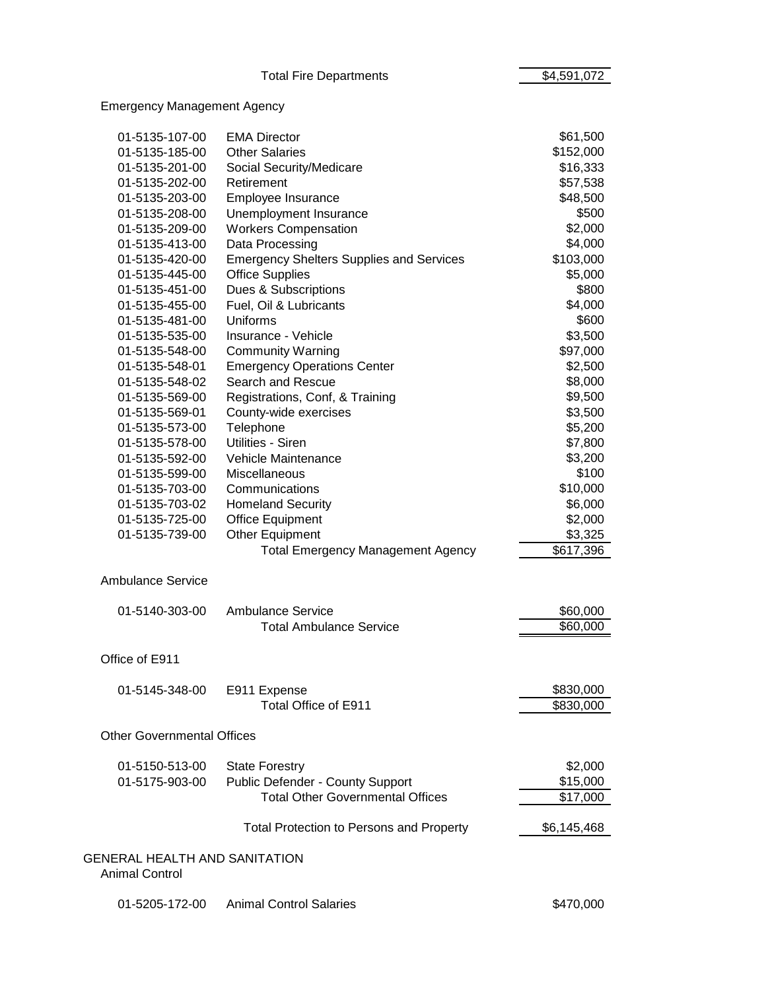Total Fire Departments **\$4,591,072** 

# Emergency Management Agency

| 01-5135-107-00                                                | <b>EMA Director</b>                             | \$61,500    |
|---------------------------------------------------------------|-------------------------------------------------|-------------|
| 01-5135-185-00                                                | <b>Other Salaries</b>                           | \$152,000   |
| 01-5135-201-00                                                | Social Security/Medicare                        | \$16,333    |
| 01-5135-202-00                                                | Retirement                                      | \$57,538    |
| 01-5135-203-00                                                | Employee Insurance                              | \$48,500    |
| 01-5135-208-00                                                | Unemployment Insurance                          | \$500       |
| 01-5135-209-00                                                | <b>Workers Compensation</b>                     | \$2,000     |
| 01-5135-413-00                                                | Data Processing                                 | \$4,000     |
| 01-5135-420-00                                                | <b>Emergency Shelters Supplies and Services</b> | \$103,000   |
| 01-5135-445-00                                                | <b>Office Supplies</b>                          | \$5,000     |
| 01-5135-451-00                                                | Dues & Subscriptions                            | \$800       |
| 01-5135-455-00                                                | Fuel, Oil & Lubricants                          | \$4,000     |
| 01-5135-481-00                                                | Uniforms                                        | \$600       |
| 01-5135-535-00                                                | Insurance - Vehicle                             | \$3,500     |
| 01-5135-548-00                                                | <b>Community Warning</b>                        | \$97,000    |
| 01-5135-548-01                                                | <b>Emergency Operations Center</b>              | \$2,500     |
| 01-5135-548-02                                                | Search and Rescue                               | \$8,000     |
| 01-5135-569-00                                                | Registrations, Conf, & Training                 | \$9,500     |
| 01-5135-569-01                                                | County-wide exercises                           | \$3,500     |
| 01-5135-573-00                                                | Telephone                                       | \$5,200     |
| 01-5135-578-00                                                | Utilities - Siren                               | \$7,800     |
| 01-5135-592-00                                                | Vehicle Maintenance                             | \$3,200     |
| 01-5135-599-00                                                | Miscellaneous                                   | \$100       |
| 01-5135-703-00                                                | Communications                                  | \$10,000    |
| 01-5135-703-02                                                | <b>Homeland Security</b>                        | \$6,000     |
| 01-5135-725-00                                                | <b>Office Equipment</b>                         | \$2,000     |
| 01-5135-739-00                                                | Other Equipment                                 | \$3,325     |
|                                                               | <b>Total Emergency Management Agency</b>        | \$617,396   |
| <b>Ambulance Service</b>                                      |                                                 |             |
| 01-5140-303-00                                                | <b>Ambulance Service</b>                        | \$60,000    |
|                                                               | <b>Total Ambulance Service</b>                  | \$60,000    |
|                                                               |                                                 |             |
| Office of E911                                                |                                                 |             |
| 01-5145-348-00                                                | E911 Expense                                    | \$830,000   |
|                                                               | Total Office of E911                            | \$830,000   |
| <b>Other Governmental Offices</b>                             |                                                 |             |
| 01-5150-513-00                                                | <b>State Forestry</b>                           | \$2,000     |
| 01-5175-903-00                                                | Public Defender - County Support                | \$15,000    |
|                                                               | <b>Total Other Governmental Offices</b>         | \$17,000    |
|                                                               |                                                 |             |
|                                                               | <b>Total Protection to Persons and Property</b> | \$6,145,468 |
| <b>GENERAL HEALTH AND SANITATION</b><br><b>Animal Control</b> |                                                 |             |
| 01-5205-172-00                                                | <b>Animal Control Salaries</b>                  | \$470,000   |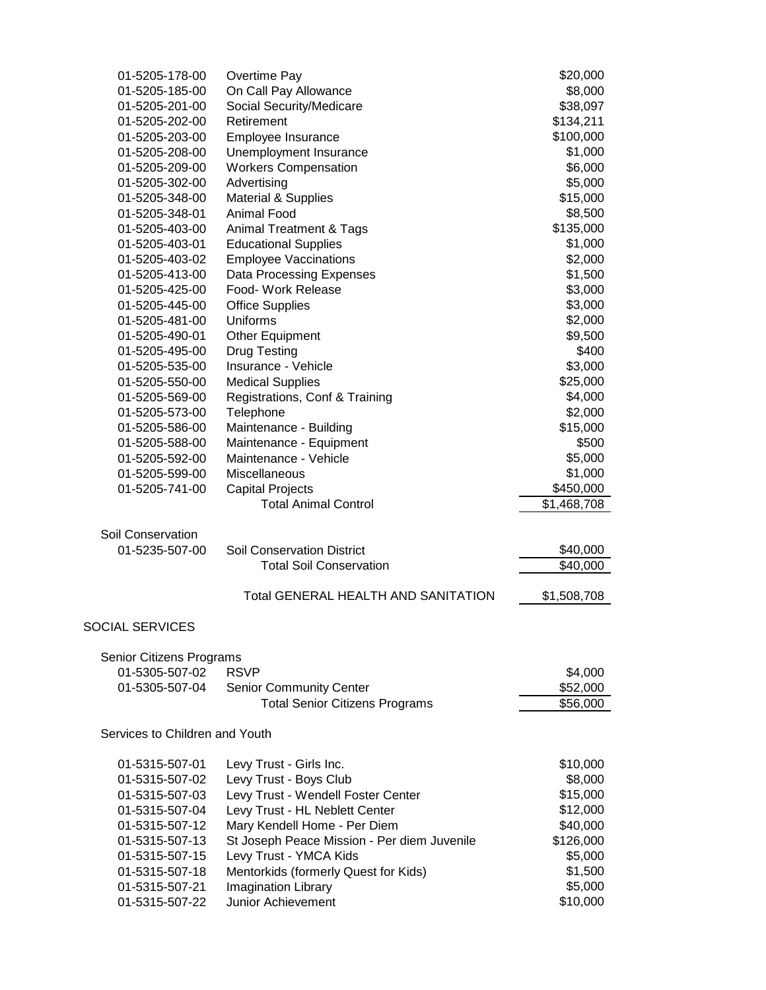| 01-5205-178-00                 | Overtime Pay                                | \$20,000    |
|--------------------------------|---------------------------------------------|-------------|
| 01-5205-185-00                 | On Call Pay Allowance                       | \$8,000     |
| 01-5205-201-00                 | Social Security/Medicare                    | \$38,097    |
| 01-5205-202-00                 | Retirement                                  | \$134,211   |
| 01-5205-203-00                 | Employee Insurance                          | \$100,000   |
| 01-5205-208-00                 | Unemployment Insurance                      | \$1,000     |
| 01-5205-209-00                 | <b>Workers Compensation</b>                 | \$6,000     |
| 01-5205-302-00                 | Advertising                                 | \$5,000     |
| 01-5205-348-00                 | <b>Material &amp; Supplies</b>              | \$15,000    |
| 01-5205-348-01                 | <b>Animal Food</b>                          | \$8,500     |
| 01-5205-403-00                 | <b>Animal Treatment &amp; Tags</b>          | \$135,000   |
| 01-5205-403-01                 | <b>Educational Supplies</b>                 | \$1,000     |
| 01-5205-403-02                 | <b>Employee Vaccinations</b>                | \$2,000     |
| 01-5205-413-00                 | Data Processing Expenses                    | \$1,500     |
| 01-5205-425-00                 | Food- Work Release                          | \$3,000     |
| 01-5205-445-00                 | <b>Office Supplies</b>                      | \$3,000     |
| 01-5205-481-00                 | Uniforms                                    | \$2,000     |
| 01-5205-490-01                 | Other Equipment                             | \$9,500     |
| 01-5205-495-00                 | Drug Testing                                | \$400       |
| 01-5205-535-00                 | Insurance - Vehicle                         | \$3,000     |
| 01-5205-550-00                 | <b>Medical Supplies</b>                     | \$25,000    |
| 01-5205-569-00                 | Registrations, Conf & Training              | \$4,000     |
| 01-5205-573-00                 | Telephone                                   | \$2,000     |
| 01-5205-586-00                 | Maintenance - Building                      | \$15,000    |
| 01-5205-588-00                 | Maintenance - Equipment                     | \$500       |
| 01-5205-592-00                 | Maintenance - Vehicle                       | \$5,000     |
| 01-5205-599-00                 | <b>Miscellaneous</b>                        | \$1,000     |
| 01-5205-741-00                 |                                             |             |
|                                | <b>Capital Projects</b>                     | \$450,000   |
|                                | <b>Total Animal Control</b>                 | \$1,468,708 |
| Soil Conservation              |                                             |             |
| 01-5235-507-00                 | <b>Soil Conservation District</b>           | \$40,000    |
|                                |                                             |             |
|                                | <b>Total Soil Conservation</b>              | \$40,000    |
|                                |                                             |             |
|                                | <b>Total GENERAL HEALTH AND SANITATION</b>  | \$1,508,708 |
|                                |                                             |             |
| <b>SOCIAL SERVICES</b>         |                                             |             |
|                                |                                             |             |
| Senior Citizens Programs       |                                             |             |
| 01-5305-507-02                 | <b>RSVP</b>                                 | \$4,000     |
| 01-5305-507-04                 | <b>Senior Community Center</b>              | \$52,000    |
|                                | <b>Total Senior Citizens Programs</b>       | \$56,000    |
| Services to Children and Youth |                                             |             |
|                                |                                             |             |
| 01-5315-507-01                 | Levy Trust - Girls Inc.                     | \$10,000    |
| 01-5315-507-02                 | Levy Trust - Boys Club                      | \$8,000     |
| 01-5315-507-03                 | Levy Trust - Wendell Foster Center          | \$15,000    |
| 01-5315-507-04                 | Levy Trust - HL Neblett Center              | \$12,000    |
| 01-5315-507-12                 | Mary Kendell Home - Per Diem                | \$40,000    |
| 01-5315-507-13                 | St Joseph Peace Mission - Per diem Juvenile | \$126,000   |
| 01-5315-507-15                 | Levy Trust - YMCA Kids                      | \$5,000     |
| 01-5315-507-18                 | Mentorkids (formerly Quest for Kids)        | \$1,500     |
| 01-5315-507-21                 | Imagination Library                         | \$5,000     |
| 01-5315-507-22                 | <b>Junior Achievement</b>                   | \$10,000    |
|                                |                                             |             |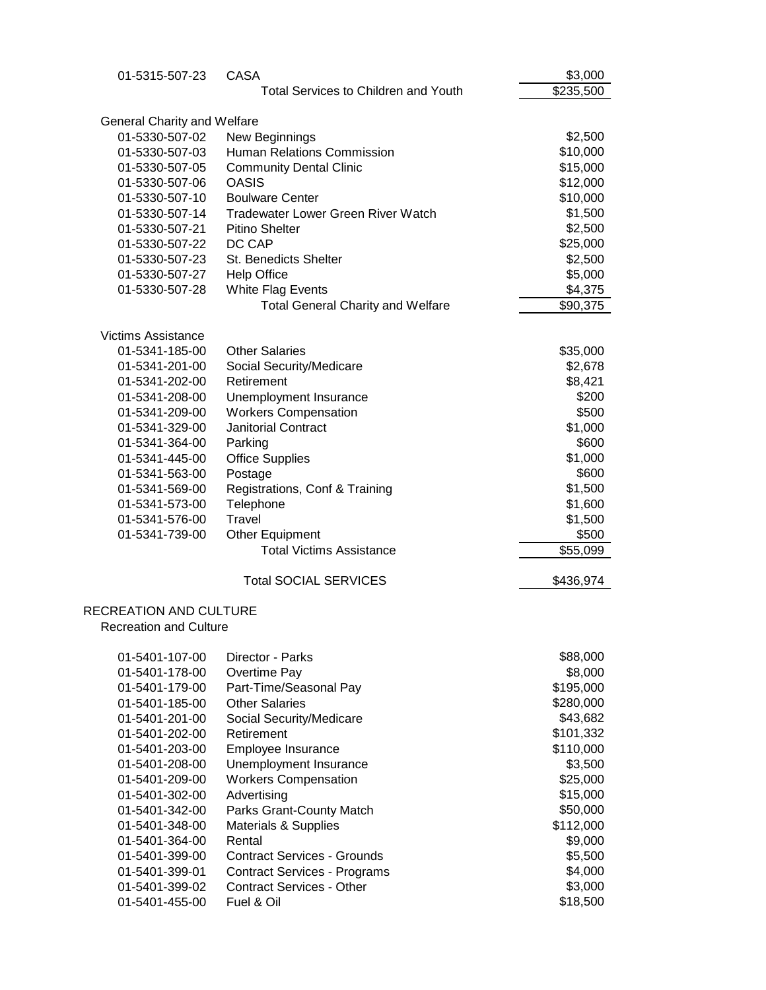| 01-5315-507-23                     | <b>CASA</b>                                 | \$3,000                |
|------------------------------------|---------------------------------------------|------------------------|
|                                    | <b>Total Services to Children and Youth</b> | \$235,500              |
| <b>General Charity and Welfare</b> |                                             |                        |
| 01-5330-507-02                     | New Beginnings                              | \$2,500                |
| 01-5330-507-03                     | Human Relations Commission                  | \$10,000               |
| 01-5330-507-05                     | <b>Community Dental Clinic</b>              | \$15,000               |
| 01-5330-507-06                     | <b>OASIS</b>                                | \$12,000               |
| 01-5330-507-10                     | <b>Boulware Center</b>                      | \$10,000               |
| 01-5330-507-14                     | <b>Tradewater Lower Green River Watch</b>   | \$1,500                |
| 01-5330-507-21                     | <b>Pitino Shelter</b>                       | \$2,500                |
| 01-5330-507-22                     | DC CAP                                      | \$25,000               |
| 01-5330-507-23                     | <b>St. Benedicts Shelter</b>                | \$2,500                |
| 01-5330-507-27                     | <b>Help Office</b>                          | \$5,000                |
| 01-5330-507-28                     | White Flag Events                           | \$4,375                |
|                                    | <b>Total General Charity and Welfare</b>    | \$90,375               |
|                                    |                                             |                        |
| <b>Victims Assistance</b>          |                                             |                        |
| 01-5341-185-00                     | <b>Other Salaries</b>                       | \$35,000               |
| 01-5341-201-00                     | Social Security/Medicare                    | \$2,678                |
| 01-5341-202-00                     | Retirement                                  | \$8,421                |
| 01-5341-208-00                     | Unemployment Insurance                      | \$200                  |
| 01-5341-209-00                     | <b>Workers Compensation</b>                 | \$500                  |
| 01-5341-329-00                     | <b>Janitorial Contract</b>                  | \$1,000                |
| 01-5341-364-00                     | Parking                                     | \$600                  |
| 01-5341-445-00                     | <b>Office Supplies</b>                      | \$1,000<br>\$600       |
| 01-5341-563-00<br>01-5341-569-00   | Postage                                     | \$1,500                |
| 01-5341-573-00                     | Registrations, Conf & Training<br>Telephone | \$1,600                |
| 01-5341-576-00                     | Travel                                      | \$1,500                |
| 01-5341-739-00                     | Other Equipment                             | \$500                  |
|                                    | <b>Total Victims Assistance</b>             | \$55,099               |
|                                    |                                             |                        |
|                                    | <b>Total SOCIAL SERVICES</b>                | \$436,974              |
| <b>RECREATION AND CULTURE</b>      |                                             |                        |
| <b>Recreation and Culture</b>      |                                             |                        |
|                                    |                                             |                        |
| 01-5401-107-00                     | Director - Parks                            | \$88,000               |
| 01-5401-178-00                     | Overtime Pay                                | \$8,000                |
| 01-5401-179-00                     | Part-Time/Seasonal Pay                      | \$195,000              |
| 01-5401-185-00                     | <b>Other Salaries</b>                       | \$280,000              |
| 01-5401-201-00                     | Social Security/Medicare<br>Retirement      | \$43,682               |
| 01-5401-202-00<br>01-5401-203-00   | Employee Insurance                          | \$101,332<br>\$110,000 |
| 01-5401-208-00                     | Unemployment Insurance                      | \$3,500                |
| 01-5401-209-00                     | <b>Workers Compensation</b>                 | \$25,000               |
| 01-5401-302-00                     | Advertising                                 | \$15,000               |
| 01-5401-342-00                     | Parks Grant-County Match                    | \$50,000               |
| 01-5401-348-00                     | Materials & Supplies                        | \$112,000              |
| 01-5401-364-00                     | Rental                                      | \$9,000                |
| 01-5401-399-00                     | <b>Contract Services - Grounds</b>          | \$5,500                |
| 01-5401-399-01                     | <b>Contract Services - Programs</b>         | \$4,000                |
| 01-5401-399-02                     | <b>Contract Services - Other</b>            | \$3,000                |
| 01-5401-455-00                     | Fuel & Oil                                  | \$18,500               |
|                                    |                                             |                        |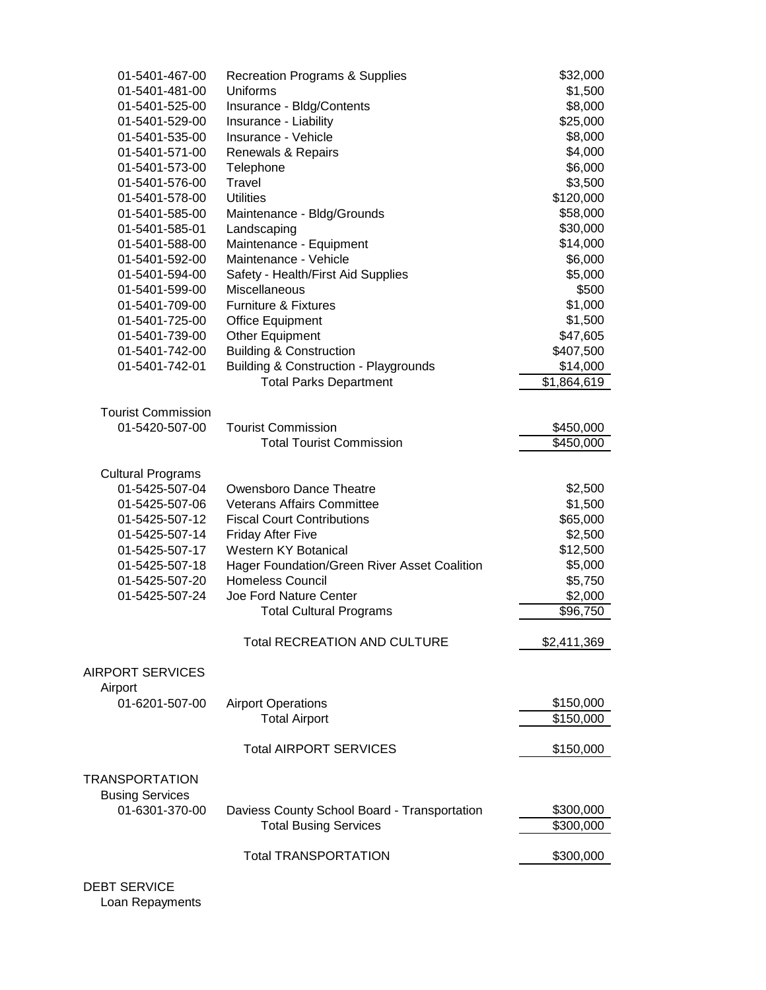| 01-5401-467-00            | <b>Recreation Programs &amp; Supplies</b>        | \$32,000    |
|---------------------------|--------------------------------------------------|-------------|
| 01-5401-481-00            | Uniforms                                         | \$1,500     |
| 01-5401-525-00            | Insurance - Bldg/Contents                        | \$8,000     |
| 01-5401-529-00            | Insurance - Liability                            | \$25,000    |
| 01-5401-535-00            | Insurance - Vehicle                              | \$8,000     |
| 01-5401-571-00            | Renewals & Repairs                               | \$4,000     |
| 01-5401-573-00            | Telephone                                        | \$6,000     |
| 01-5401-576-00            | Travel                                           | \$3,500     |
| 01-5401-578-00            | <b>Utilities</b>                                 | \$120,000   |
| 01-5401-585-00            | Maintenance - Bldg/Grounds                       | \$58,000    |
| 01-5401-585-01            | Landscaping                                      | \$30,000    |
| 01-5401-588-00            | Maintenance - Equipment                          | \$14,000    |
| 01-5401-592-00            | Maintenance - Vehicle                            | \$6,000     |
| 01-5401-594-00            | Safety - Health/First Aid Supplies               | \$5,000     |
| 01-5401-599-00            | <b>Miscellaneous</b>                             | \$500       |
|                           |                                                  |             |
| 01-5401-709-00            | <b>Furniture &amp; Fixtures</b>                  | \$1,000     |
| 01-5401-725-00            | <b>Office Equipment</b>                          | \$1,500     |
| 01-5401-739-00            | Other Equipment                                  | \$47,605    |
| 01-5401-742-00            | <b>Building &amp; Construction</b>               | \$407,500   |
| 01-5401-742-01            | <b>Building &amp; Construction - Playgrounds</b> | \$14,000    |
|                           | <b>Total Parks Department</b>                    | \$1,864,619 |
|                           |                                                  |             |
| <b>Tourist Commission</b> |                                                  |             |
| 01-5420-507-00            | <b>Tourist Commission</b>                        | \$450,000   |
|                           | <b>Total Tourist Commission</b>                  | \$450,000   |
|                           |                                                  |             |
| <b>Cultural Programs</b>  |                                                  |             |
| 01-5425-507-04            | Owensboro Dance Theatre                          | \$2,500     |
| 01-5425-507-06            | <b>Veterans Affairs Committee</b>                | \$1,500     |
| 01-5425-507-12            | <b>Fiscal Court Contributions</b>                | \$65,000    |
| 01-5425-507-14            | <b>Friday After Five</b>                         | \$2,500     |
| 01-5425-507-17            | <b>Western KY Botanical</b>                      | \$12,500    |
| 01-5425-507-18            | Hager Foundation/Green River Asset Coalition     | \$5,000     |
| 01-5425-507-20            | <b>Homeless Council</b>                          | \$5,750     |
| 01-5425-507-24            | Joe Ford Nature Center                           | \$2,000     |
|                           | <b>Total Cultural Programs</b>                   | \$96,750    |
|                           | <b>Total RECREATION AND CULTURE</b>              | \$2,411,369 |
|                           |                                                  |             |
| <b>AIRPORT SERVICES</b>   |                                                  |             |
| Airport                   |                                                  |             |
| 01-6201-507-00            | <b>Airport Operations</b>                        | \$150,000   |
|                           | <b>Total Airport</b>                             | \$150,000   |
|                           |                                                  |             |
|                           | <b>Total AIRPORT SERVICES</b>                    | \$150,000   |
|                           |                                                  |             |
| <b>TRANSPORTATION</b>     |                                                  |             |
| <b>Busing Services</b>    |                                                  |             |
| 01-6301-370-00            | Daviess County School Board - Transportation     | \$300,000   |
|                           | <b>Total Busing Services</b>                     | \$300,000   |
|                           |                                                  |             |
|                           | <b>Total TRANSPORTATION</b>                      | \$300,000   |
|                           |                                                  |             |
|                           |                                                  |             |

 DEBT SERVICE Loan Repayments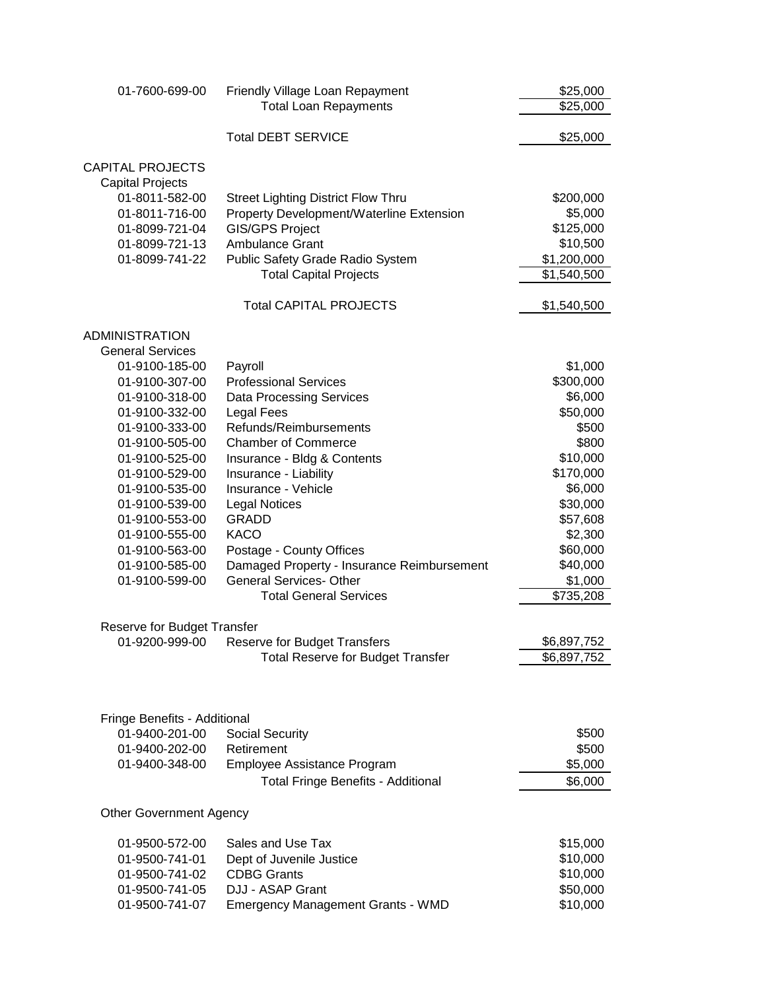| 01-7600-699-00                 | Friendly Village Loan Repayment                                 | \$25,000              |
|--------------------------------|-----------------------------------------------------------------|-----------------------|
|                                | <b>Total Loan Repayments</b>                                    | \$25,000              |
|                                | <b>Total DEBT SERVICE</b>                                       | \$25,000              |
| <b>CAPITAL PROJECTS</b>        |                                                                 |                       |
| <b>Capital Projects</b>        |                                                                 |                       |
| 01-8011-582-00                 | <b>Street Lighting District Flow Thru</b>                       | \$200,000             |
| 01-8011-716-00                 | Property Development/Waterline Extension                        | \$5,000               |
| 01-8099-721-04                 | <b>GIS/GPS Project</b>                                          | \$125,000             |
| 01-8099-721-13                 | Ambulance Grant                                                 | \$10,500              |
| 01-8099-741-22                 | Public Safety Grade Radio System                                | \$1,200,000           |
|                                | <b>Total Capital Projects</b>                                   | \$1,540,500           |
|                                | <b>Total CAPITAL PROJECTS</b>                                   | \$1,540,500           |
| <b>ADMINISTRATION</b>          |                                                                 |                       |
| <b>General Services</b>        |                                                                 |                       |
| 01-9100-185-00                 | Payroll                                                         | \$1,000               |
| 01-9100-307-00                 | <b>Professional Services</b>                                    | \$300,000             |
| 01-9100-318-00                 | <b>Data Processing Services</b>                                 | \$6,000               |
| 01-9100-332-00                 | <b>Legal Fees</b>                                               | \$50,000              |
| 01-9100-333-00                 | Refunds/Reimbursements                                          | \$500                 |
| 01-9100-505-00                 | <b>Chamber of Commerce</b>                                      | \$800                 |
| 01-9100-525-00                 | Insurance - Bldg & Contents                                     | \$10,000              |
| 01-9100-529-00                 | Insurance - Liability                                           | \$170,000             |
| 01-9100-535-00                 | Insurance - Vehicle                                             | \$6,000               |
| 01-9100-539-00                 | <b>Legal Notices</b>                                            | \$30,000              |
| 01-9100-553-00                 | <b>GRADD</b>                                                    | \$57,608              |
| 01-9100-555-00                 | <b>KACO</b>                                                     | \$2,300               |
| 01-9100-563-00                 | Postage - County Offices                                        | \$60,000              |
| 01-9100-585-00                 | Damaged Property - Insurance Reimbursement                      | \$40,000              |
| 01-9100-599-00                 | <b>General Services- Other</b><br><b>Total General Services</b> | \$1,000               |
|                                |                                                                 | $\overline{$}735,208$ |
| Reserve for Budget Transfer    |                                                                 |                       |
|                                | 01-9200-999-00 Reserve for Budget Transfers                     | \$6,897,752           |
|                                | <b>Total Reserve for Budget Transfer</b>                        | \$6,897,752           |
|                                |                                                                 |                       |
| Fringe Benefits - Additional   |                                                                 |                       |
| 01-9400-201-00                 | <b>Social Security</b>                                          | \$500                 |
| 01-9400-202-00                 | Retirement                                                      | \$500                 |
| 01-9400-348-00                 | Employee Assistance Program                                     | \$5,000               |
|                                | <b>Total Fringe Benefits - Additional</b>                       | \$6,000               |
| <b>Other Government Agency</b> |                                                                 |                       |
| 01-9500-572-00                 | Sales and Use Tax                                               | \$15,000              |
| 01-9500-741-01                 | Dept of Juvenile Justice                                        | \$10,000              |
| 01-9500-741-02                 | <b>CDBG Grants</b>                                              | \$10,000              |
| 01-9500-741-05                 | DJJ - ASAP Grant                                                | \$50,000              |
| 01-9500-741-07                 | <b>Emergency Management Grants - WMD</b>                        | \$10,000              |
|                                |                                                                 |                       |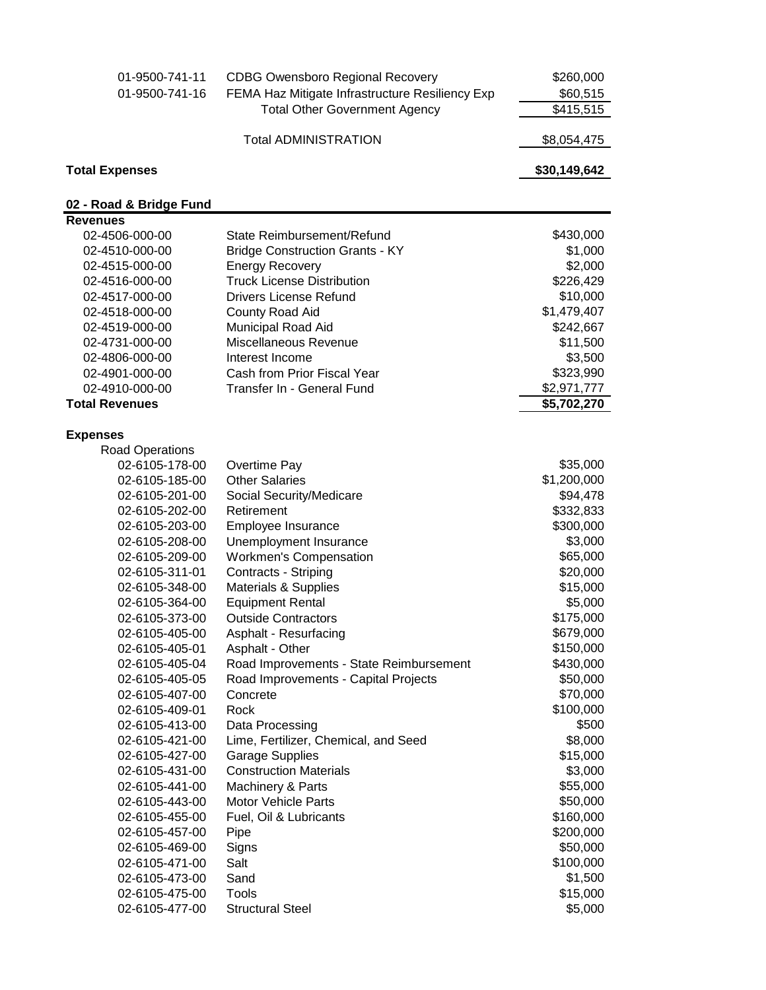| 01-9500-741-11          | <b>CDBG Owensboro Regional Recovery</b>         | \$260,000    |
|-------------------------|-------------------------------------------------|--------------|
| 01-9500-741-16          | FEMA Haz Mitigate Infrastructure Resiliency Exp | \$60,515     |
|                         | <b>Total Other Government Agency</b>            | \$415,515    |
|                         | <b>Total ADMINISTRATION</b>                     | \$8,054,475  |
| <b>Total Expenses</b>   |                                                 | \$30,149,642 |
| 02 - Road & Bridge Fund |                                                 |              |
| <b>Revenues</b>         |                                                 |              |
| 02-4506-000-00          | State Reimbursement/Refund                      | \$430,000    |
| 02-4510-000-00          | <b>Bridge Construction Grants - KY</b>          | \$1,000      |
| 02-4515-000-00          | <b>Energy Recovery</b>                          | \$2,000      |
| 02-4516-000-00          | <b>Truck License Distribution</b>               | \$226,429    |
| 02-4517-000-00          | <b>Drivers License Refund</b>                   | \$10,000     |
| 02-4518-000-00          | County Road Aid                                 | \$1,479,407  |
| 02-4519-000-00          | Municipal Road Aid                              | \$242,667    |
| 02-4731-000-00          | Miscellaneous Revenue                           | \$11,500     |
| 02-4806-000-00          | Interest Income                                 | \$3,500      |
| 02-4901-000-00          | Cash from Prior Fiscal Year                     | \$323,990    |
| 02-4910-000-00          | Transfer In - General Fund                      | \$2,971,777  |
| <b>Total Revenues</b>   |                                                 | \$5,702,270  |
| <b>Expenses</b>         |                                                 |              |
| <b>Road Operations</b>  |                                                 |              |
| 02-6105-178-00          | Overtime Pay                                    | \$35,000     |
| 02-6105-185-00          | <b>Other Salaries</b>                           | \$1,200,000  |
| 02-6105-201-00          | Social Security/Medicare                        | \$94,478     |
| 02-6105-202-00          | Retirement                                      | \$332,833    |
| 02-6105-203-00          | Employee Insurance                              | \$300,000    |
| 02-6105-208-00          | Unemployment Insurance                          | \$3,000      |
| 02-6105-209-00          | <b>Workmen's Compensation</b>                   | \$65,000     |
| 02-6105-311-01          | Contracts - Striping                            | \$20,000     |
| 02-6105-348-00          | Materials & Supplies                            | \$15,000     |
| 02-6105-364-00          | <b>Equipment Rental</b>                         | \$5,000      |
| 02-6105-373-00          | <b>Outside Contractors</b>                      | \$175,000    |
| 02-6105-405-00          | Asphalt - Resurfacing                           | \$679,000    |
| 02-6105-405-01          | Asphalt - Other                                 | \$150,000    |
| 02-6105-405-04          | Road Improvements - State Reimbursement         | \$430,000    |
| 02-6105-405-05          | Road Improvements - Capital Projects            | \$50,000     |
| 02-6105-407-00          | Concrete                                        | \$70,000     |
| 02-6105-409-01          | Rock                                            | \$100,000    |
| 02-6105-413-00          | Data Processing                                 | \$500        |
| 02-6105-421-00          | Lime, Fertilizer, Chemical, and Seed            | \$8,000      |
| 02-6105-427-00          | <b>Garage Supplies</b>                          | \$15,000     |
| 02-6105-431-00          | <b>Construction Materials</b>                   | \$3,000      |
| 02-6105-441-00          | Machinery & Parts                               | \$55,000     |
| 02-6105-443-00          | <b>Motor Vehicle Parts</b>                      | \$50,000     |
| 02-6105-455-00          | Fuel, Oil & Lubricants                          | \$160,000    |
| 02-6105-457-00          | Pipe                                            | \$200,000    |
| 02-6105-469-00          | Signs                                           | \$50,000     |
| 02-6105-471-00          | Salt                                            | \$100,000    |
| 02-6105-473-00          | Sand                                            | \$1,500      |
| 02-6105-475-00          | Tools                                           | \$15,000     |
| 02-6105-477-00          | <b>Structural Steel</b>                         | \$5,000      |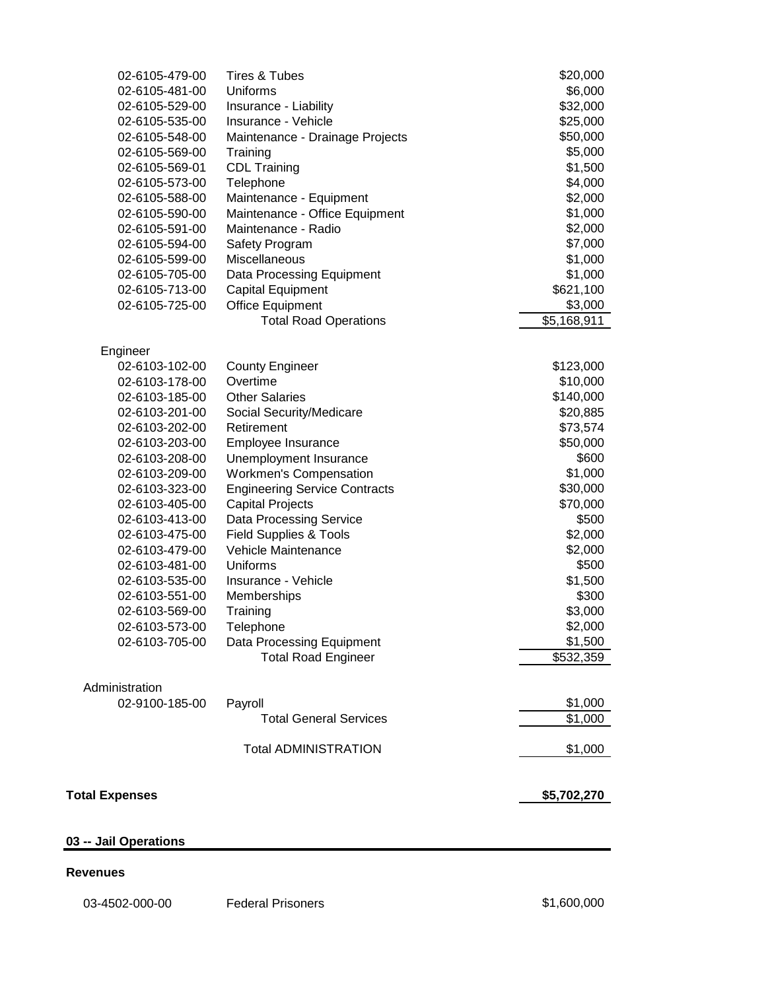| 02-6105-479-00             | Tires & Tubes                        | \$20,000    |
|----------------------------|--------------------------------------|-------------|
| 02-6105-481-00             | Uniforms                             | \$6,000     |
| 02-6105-529-00             | Insurance - Liability                | \$32,000    |
| 02-6105-535-00             | Insurance - Vehicle                  | \$25,000    |
| 02-6105-548-00             | Maintenance - Drainage Projects      | \$50,000    |
| 02-6105-569-00             | Training                             | \$5,000     |
| 02-6105-569-01             | <b>CDL Training</b>                  | \$1,500     |
| 02-6105-573-00             | Telephone                            | \$4,000     |
| 02-6105-588-00             | Maintenance - Equipment              | \$2,000     |
| 02-6105-590-00             | Maintenance - Office Equipment       | \$1,000     |
| 02-6105-591-00             | Maintenance - Radio                  | \$2,000     |
| 02-6105-594-00             | Safety Program                       | \$7,000     |
| 02-6105-599-00             | Miscellaneous                        | \$1,000     |
| 02-6105-705-00             | Data Processing Equipment            | \$1,000     |
| 02-6105-713-00             | <b>Capital Equipment</b>             | \$621,100   |
| 02-6105-725-00             | <b>Office Equipment</b>              | \$3,000     |
|                            | <b>Total Road Operations</b>         | \$5,168,911 |
|                            |                                      |             |
| Engineer<br>02-6103-102-00 | <b>County Engineer</b>               | \$123,000   |
| 02-6103-178-00             | Overtime                             | \$10,000    |
| 02-6103-185-00             | <b>Other Salaries</b>                | \$140,000   |
| 02-6103-201-00             | Social Security/Medicare             | \$20,885    |
| 02-6103-202-00             | Retirement                           | \$73,574    |
| 02-6103-203-00             | Employee Insurance                   | \$50,000    |
| 02-6103-208-00             | Unemployment Insurance               | \$600       |
| 02-6103-209-00             | <b>Workmen's Compensation</b>        | \$1,000     |
| 02-6103-323-00             | <b>Engineering Service Contracts</b> | \$30,000    |
| 02-6103-405-00             | <b>Capital Projects</b>              | \$70,000    |
| 02-6103-413-00             | Data Processing Service              | \$500       |
| 02-6103-475-00             | <b>Field Supplies &amp; Tools</b>    | \$2,000     |
| 02-6103-479-00             | Vehicle Maintenance                  | \$2,000     |
| 02-6103-481-00             | Uniforms                             | \$500       |
| 02-6103-535-00             | Insurance - Vehicle                  | \$1,500     |
| 02-6103-551-00             | Memberships                          | \$300       |
| 02-6103-569-00             | Training                             | \$3,000     |
| 02-6103-573-00             | Telephone                            | \$2.000     |
| 02-6103-705-00             | Data Processing Equipment            | \$1,500     |
|                            | <b>Total Road Engineer</b>           | \$532,359   |
|                            |                                      |             |
| Administration             |                                      |             |
| 02-9100-185-00             | Payroll                              | \$1,000     |
|                            | <b>Total General Services</b>        | \$1,000     |
|                            | <b>Total ADMINISTRATION</b>          | \$1,000     |
| <b>Total Expenses</b>      |                                      | \$5,702,270 |
|                            |                                      |             |
| 03 -- Jail Operations      |                                      |             |

## **Revenues**

03-4502-000-00 Federal Prisoners 600,000 \$1,600,000 \$1,600,000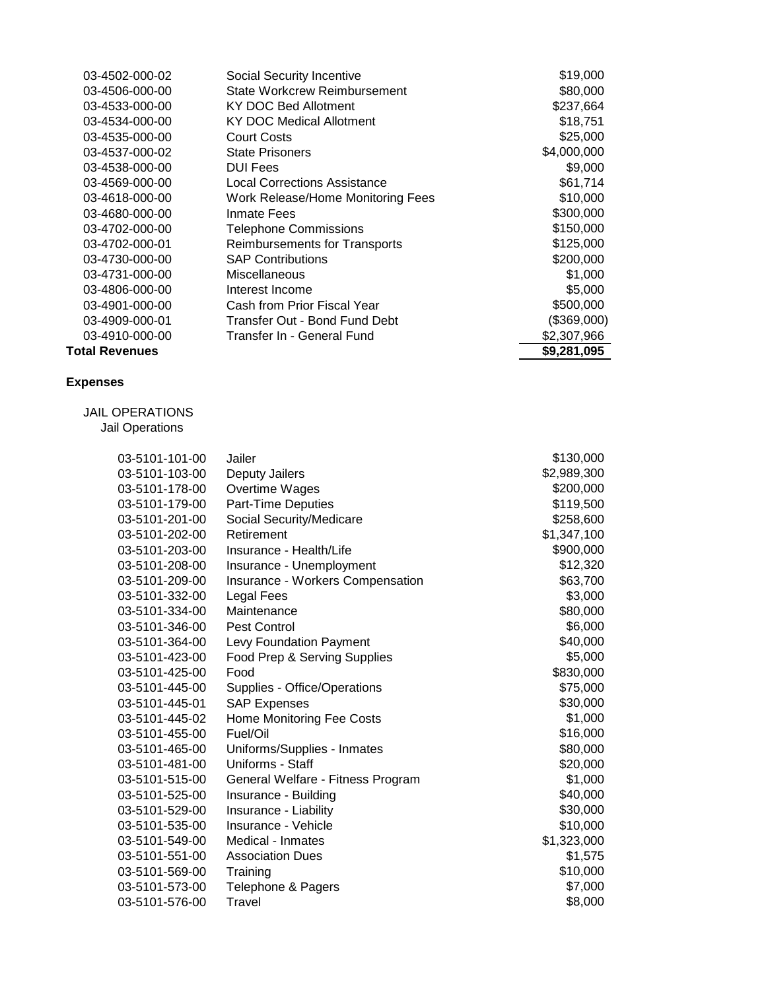| 03-4502-000-02        | Social Security Incentive           | \$19,000    |
|-----------------------|-------------------------------------|-------------|
| 03-4506-000-00        | State Workcrew Reimbursement        | \$80,000    |
| 03-4533-000-00        | KY DOC Bed Allotment                | \$237,664   |
| 03-4534-000-00        | KY DOC Medical Allotment            | \$18,751    |
| 03-4535-000-00        | <b>Court Costs</b>                  | \$25,000    |
| 03-4537-000-02        | <b>State Prisoners</b>              | \$4,000,000 |
| 03-4538-000-00        | <b>DUI Fees</b>                     | \$9,000     |
| 03-4569-000-00        | <b>Local Corrections Assistance</b> | \$61,714    |
| 03-4618-000-00        | Work Release/Home Monitoring Fees   | \$10,000    |
| 03-4680-000-00        | Inmate Fees                         | \$300,000   |
| 03-4702-000-00        | <b>Telephone Commissions</b>        | \$150,000   |
| 03-4702-000-01        | Reimbursements for Transports       | \$125,000   |
| 03-4730-000-00        | <b>SAP Contributions</b>            | \$200,000   |
| 03-4731-000-00        | Miscellaneous                       | \$1,000     |
| 03-4806-000-00        | Interest Income                     | \$5,000     |
| 03-4901-000-00        | Cash from Prior Fiscal Year         | \$500,000   |
| 03-4909-000-01        | Transfer Out - Bond Fund Debt       | (\$369,000) |
| 03-4910-000-00        | Transfer In - General Fund          | \$2,307,966 |
| <b>Total Revenues</b> |                                     | \$9,281,095 |

## **Expenses**

 JAIL OPERATIONS Jail Operations

| 03-5101-101-00 | Jailer                            | \$130,000   |
|----------------|-----------------------------------|-------------|
| 03-5101-103-00 | Deputy Jailers                    | \$2,989,300 |
| 03-5101-178-00 | Overtime Wages                    | \$200,000   |
| 03-5101-179-00 | Part-Time Deputies                | \$119,500   |
| 03-5101-201-00 | Social Security/Medicare          | \$258,600   |
| 03-5101-202-00 | Retirement                        | \$1,347,100 |
| 03-5101-203-00 | Insurance - Health/Life           | \$900,000   |
| 03-5101-208-00 | Insurance - Unemployment          | \$12,320    |
| 03-5101-209-00 | Insurance - Workers Compensation  | \$63,700    |
| 03-5101-332-00 | Legal Fees                        | \$3,000     |
| 03-5101-334-00 | Maintenance                       | \$80,000    |
| 03-5101-346-00 | Pest Control                      | \$6,000     |
| 03-5101-364-00 | Levy Foundation Payment           | \$40,000    |
| 03-5101-423-00 | Food Prep & Serving Supplies      | \$5,000     |
| 03-5101-425-00 | Food                              | \$830,000   |
| 03-5101-445-00 | Supplies - Office/Operations      | \$75,000    |
| 03-5101-445-01 | <b>SAP Expenses</b>               | \$30,000    |
| 03-5101-445-02 | <b>Home Monitoring Fee Costs</b>  | \$1,000     |
| 03-5101-455-00 | Fuel/Oil                          | \$16,000    |
| 03-5101-465-00 | Uniforms/Supplies - Inmates       | \$80,000    |
| 03-5101-481-00 | Uniforms - Staff                  | \$20,000    |
| 03-5101-515-00 | General Welfare - Fitness Program | \$1,000     |
| 03-5101-525-00 | Insurance - Building              | \$40,000    |
| 03-5101-529-00 | Insurance - Liability             | \$30,000    |
| 03-5101-535-00 | Insurance - Vehicle               | \$10,000    |
| 03-5101-549-00 | Medical - Inmates                 | \$1,323,000 |
| 03-5101-551-00 | <b>Association Dues</b>           | \$1,575     |
| 03-5101-569-00 | Training                          | \$10,000    |
| 03-5101-573-00 | Telephone & Pagers                | \$7,000     |
| 03-5101-576-00 | Travel                            | \$8,000     |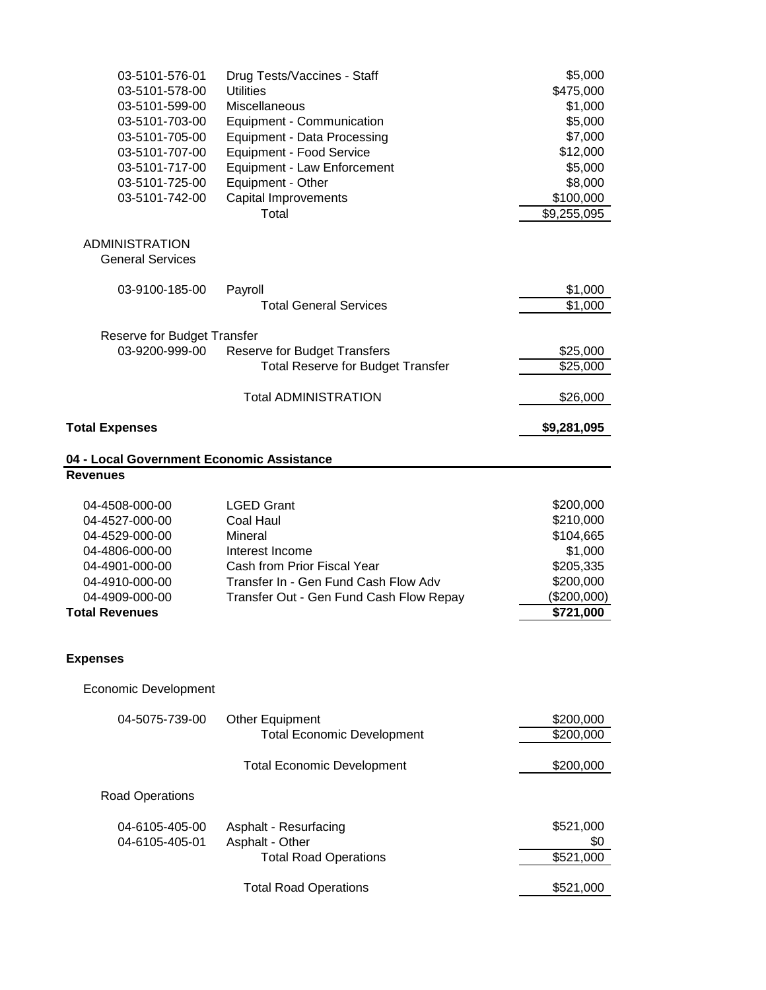| 03-5101-576-01<br>03-5101-578-00<br>03-5101-599-00<br>03-5101-703-00<br>03-5101-705-00<br>03-5101-707-00                                            | Drug Tests/Vaccines - Staff<br><b>Utilities</b><br>Miscellaneous<br>Equipment - Communication<br><b>Equipment - Data Processing</b><br>Equipment - Food Service                       | \$5,000<br>\$475,000<br>\$1,000<br>\$5,000<br>\$7,000<br>\$12,000                                    |
|-----------------------------------------------------------------------------------------------------------------------------------------------------|---------------------------------------------------------------------------------------------------------------------------------------------------------------------------------------|------------------------------------------------------------------------------------------------------|
| 03-5101-717-00<br>03-5101-725-00<br>03-5101-742-00                                                                                                  | Equipment - Law Enforcement<br>Equipment - Other<br>Capital Improvements<br>Total                                                                                                     | \$5,000<br>\$8,000<br>\$100,000<br>\$9,255,095                                                       |
| <b>ADMINISTRATION</b><br><b>General Services</b>                                                                                                    |                                                                                                                                                                                       |                                                                                                      |
| 03-9100-185-00                                                                                                                                      | Payroll<br><b>Total General Services</b>                                                                                                                                              | \$1,000<br>\$1,000                                                                                   |
| Reserve for Budget Transfer<br>03-9200-999-00                                                                                                       | <b>Reserve for Budget Transfers</b><br><b>Total Reserve for Budget Transfer</b>                                                                                                       | \$25,000<br>\$25,000                                                                                 |
|                                                                                                                                                     | <b>Total ADMINISTRATION</b>                                                                                                                                                           | \$26,000                                                                                             |
| <b>Total Expenses</b>                                                                                                                               |                                                                                                                                                                                       | \$9,281,095                                                                                          |
| 04 - Local Government Economic Assistance<br><b>Revenues</b>                                                                                        |                                                                                                                                                                                       |                                                                                                      |
|                                                                                                                                                     |                                                                                                                                                                                       |                                                                                                      |
| 04-4508-000-00<br>04-4527-000-00<br>04-4529-000-00<br>04-4806-000-00<br>04-4901-000-00<br>04-4910-000-00<br>04-4909-000-00<br><b>Total Revenues</b> | <b>LGED Grant</b><br><b>Coal Haul</b><br>Mineral<br>Interest Income<br>Cash from Prior Fiscal Year<br>Transfer In - Gen Fund Cash Flow Adv<br>Transfer Out - Gen Fund Cash Flow Repay | \$200,000<br>\$210,000<br>\$104,665<br>\$1,000<br>\$205,335<br>\$200,000<br>(\$200,000)<br>\$721,000 |
| <b>Expenses</b>                                                                                                                                     |                                                                                                                                                                                       |                                                                                                      |
| Economic Development                                                                                                                                |                                                                                                                                                                                       |                                                                                                      |
| 04-5075-739-00                                                                                                                                      | Other Equipment<br><b>Total Economic Development</b>                                                                                                                                  | \$200,000<br>\$200,000                                                                               |
|                                                                                                                                                     | <b>Total Economic Development</b>                                                                                                                                                     | \$200,000                                                                                            |
| <b>Road Operations</b>                                                                                                                              |                                                                                                                                                                                       |                                                                                                      |
| 04-6105-405-00<br>04-6105-405-01                                                                                                                    | Asphalt - Resurfacing<br>Asphalt - Other<br><b>Total Road Operations</b>                                                                                                              | \$521,000<br>\$0<br>\$521,000                                                                        |
|                                                                                                                                                     | <b>Total Road Operations</b>                                                                                                                                                          | \$521,000                                                                                            |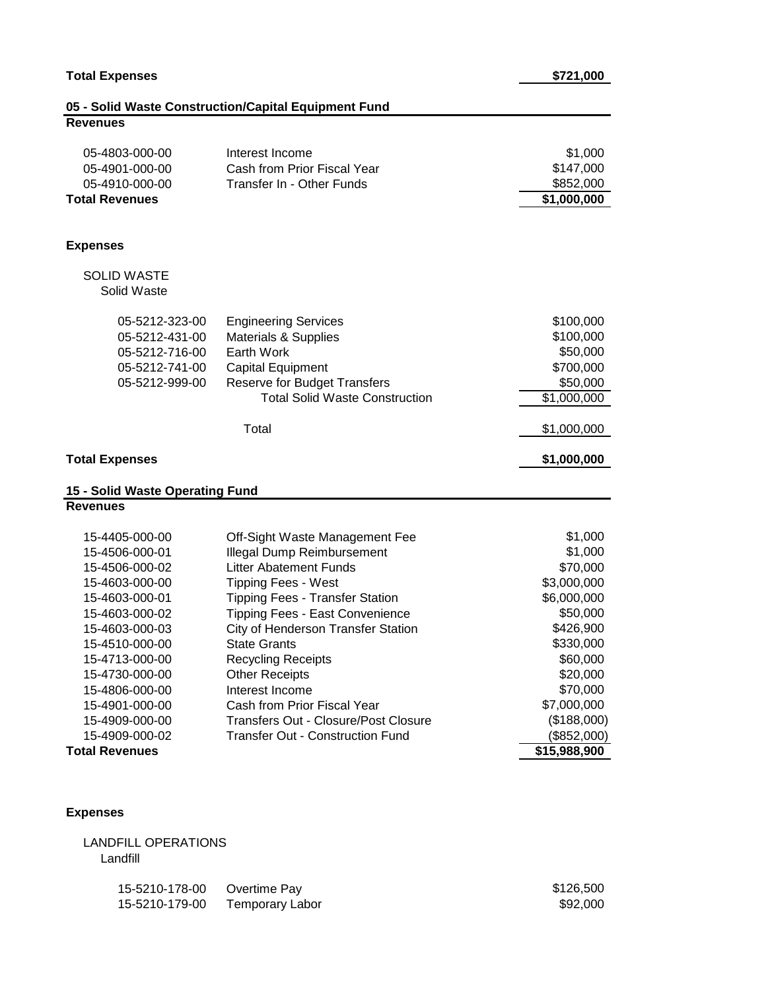**Total Revenues \$1,000,000** 

**Expenses**

**Revenues**

 SOLID WASTE Solid Waste

| Solid Waste                                                                                                                                                                      |                                                                                                                                                                                                                                                                                                                                    |                                                                                                                            |
|----------------------------------------------------------------------------------------------------------------------------------------------------------------------------------|------------------------------------------------------------------------------------------------------------------------------------------------------------------------------------------------------------------------------------------------------------------------------------------------------------------------------------|----------------------------------------------------------------------------------------------------------------------------|
| 05-5212-323-00<br>05-5212-431-00<br>05-5212-716-00<br>05-5212-741-00<br>05-5212-999-00                                                                                           | <b>Engineering Services</b><br>Materials & Supplies<br>Earth Work<br><b>Capital Equipment</b><br>Reserve for Budget Transfers<br><b>Total Solid Waste Construction</b>                                                                                                                                                             | \$100,000<br>\$100,000<br>\$50,000<br>\$700,000<br>\$50,000<br>\$1,000,000                                                 |
|                                                                                                                                                                                  | Total                                                                                                                                                                                                                                                                                                                              | \$1,000,000                                                                                                                |
| <b>Total Expenses</b>                                                                                                                                                            |                                                                                                                                                                                                                                                                                                                                    | \$1,000,000                                                                                                                |
| 15 - Solid Waste Operating Fund                                                                                                                                                  |                                                                                                                                                                                                                                                                                                                                    |                                                                                                                            |
| <b>Revenues</b>                                                                                                                                                                  |                                                                                                                                                                                                                                                                                                                                    |                                                                                                                            |
| 15-4405-000-00<br>15-4506-000-01<br>15-4506-000-02<br>15-4603-000-00<br>15-4603-000-01<br>15-4603-000-02<br>15-4603-000-03<br>15-4510-000-00<br>15-4713-000-00<br>15-4730-000-00 | Off-Sight Waste Management Fee<br><b>Illegal Dump Reimbursement</b><br><b>Litter Abatement Funds</b><br><b>Tipping Fees - West</b><br>Tipping Fees - Transfer Station<br><b>Tipping Fees - East Convenience</b><br>City of Henderson Transfer Station<br><b>State Grants</b><br><b>Recycling Receipts</b><br><b>Other Receipts</b> | \$1,000<br>\$1,000<br>\$70,000<br>\$3,000,000<br>\$6,000,000<br>\$50,000<br>\$426,900<br>\$330,000<br>\$60,000<br>\$20,000 |
| 15-4806-000-00<br>15-4901-000-00<br>15-4909-000-00                                                                                                                               | Interest Income<br>Cash from Prior Fiscal Year<br><b>Transfers Out - Closure/Post Closure</b>                                                                                                                                                                                                                                      | \$70,000<br>\$7,000,000<br>(\$188,000)                                                                                     |
| 15-4909-000-02<br><b>Total Revenues</b>                                                                                                                                          | <b>Transfer Out - Construction Fund</b>                                                                                                                                                                                                                                                                                            | (\$852,000)<br>\$15,988,900                                                                                                |

#### **Total Revenues**

## **Expenses**

| LANDFILL OPERATIONS |  |
|---------------------|--|
| Landfill            |  |

| 15-5210-178-00 Overtime Pay |                                | \$126,500 |
|-----------------------------|--------------------------------|-----------|
|                             | 15-5210-179-00 Temporary Labor | \$92,000  |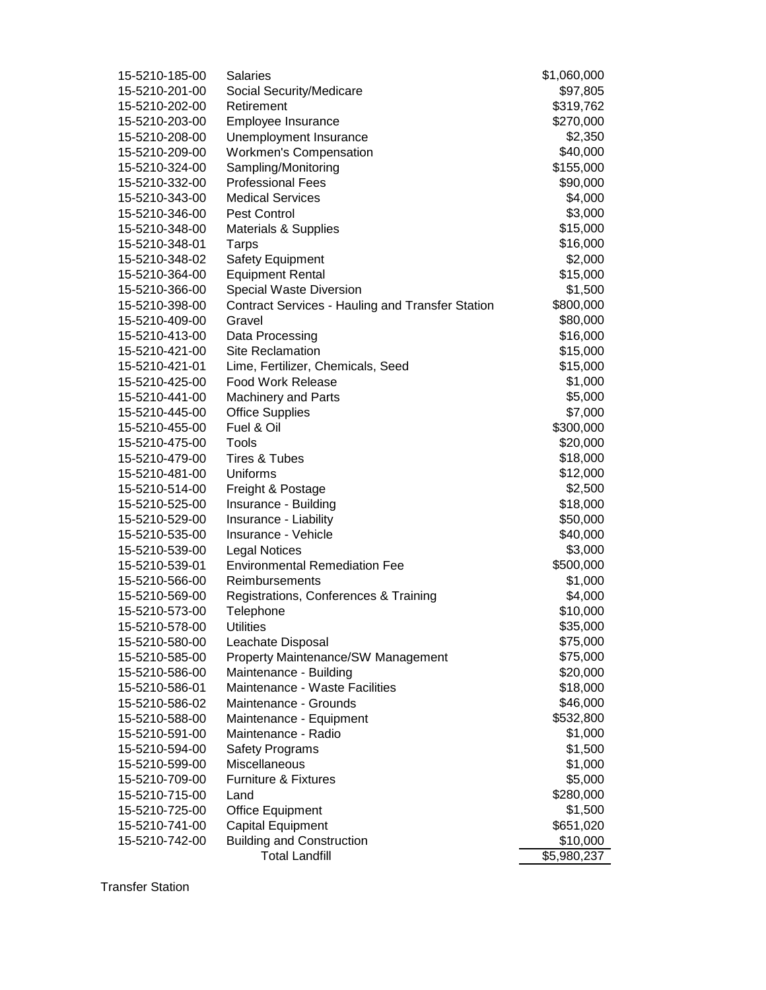| 15-5210-185-00 | <b>Salaries</b>                                         | \$1,060,000 |
|----------------|---------------------------------------------------------|-------------|
| 15-5210-201-00 | Social Security/Medicare                                | \$97,805    |
| 15-5210-202-00 | Retirement                                              | \$319,762   |
| 15-5210-203-00 | Employee Insurance                                      | \$270,000   |
| 15-5210-208-00 | Unemployment Insurance                                  | \$2,350     |
| 15-5210-209-00 | <b>Workmen's Compensation</b>                           | \$40,000    |
| 15-5210-324-00 | Sampling/Monitoring                                     | \$155,000   |
| 15-5210-332-00 | <b>Professional Fees</b>                                | \$90,000    |
| 15-5210-343-00 | <b>Medical Services</b>                                 | \$4,000     |
| 15-5210-346-00 | Pest Control                                            | \$3,000     |
| 15-5210-348-00 | Materials & Supplies                                    | \$15,000    |
| 15-5210-348-01 | Tarps                                                   | \$16,000    |
| 15-5210-348-02 | Safety Equipment                                        | \$2,000     |
| 15-5210-364-00 | <b>Equipment Rental</b>                                 | \$15,000    |
| 15-5210-366-00 | Special Waste Diversion                                 | \$1,500     |
| 15-5210-398-00 | <b>Contract Services - Hauling and Transfer Station</b> | \$800,000   |
| 15-5210-409-00 | Gravel                                                  | \$80,000    |
| 15-5210-413-00 | Data Processing                                         | \$16,000    |
| 15-5210-421-00 | <b>Site Reclamation</b>                                 | \$15,000    |
| 15-5210-421-01 | Lime, Fertilizer, Chemicals, Seed                       | \$15,000    |
| 15-5210-425-00 | <b>Food Work Release</b>                                | \$1,000     |
| 15-5210-441-00 | <b>Machinery and Parts</b>                              | \$5,000     |
| 15-5210-445-00 | <b>Office Supplies</b>                                  | \$7,000     |
| 15-5210-455-00 | Fuel & Oil                                              | \$300,000   |
| 15-5210-475-00 | Tools                                                   | \$20,000    |
| 15-5210-479-00 | <b>Tires &amp; Tubes</b>                                | \$18,000    |
| 15-5210-481-00 | Uniforms                                                | \$12,000    |
| 15-5210-514-00 | Freight & Postage                                       | \$2,500     |
| 15-5210-525-00 | Insurance - Building                                    | \$18,000    |
| 15-5210-529-00 | Insurance - Liability                                   | \$50,000    |
| 15-5210-535-00 | Insurance - Vehicle                                     | \$40,000    |
| 15-5210-539-00 | <b>Legal Notices</b>                                    | \$3,000     |
| 15-5210-539-01 | <b>Environmental Remediation Fee</b>                    | \$500,000   |
| 15-5210-566-00 | Reimbursements                                          | \$1,000     |
| 15-5210-569-00 | Registrations, Conferences & Training                   | \$4,000     |
| 15-5210-573-00 | Telephone                                               | \$10,000    |
| 15-5210-578-00 | <b>Utilities</b>                                        | \$35,000    |
| 15-5210-580-00 | Leachate Disposal                                       | \$75,000    |
| 15-5210-585-00 | Property Maintenance/SW Management                      | \$75,000    |
| 15-5210-586-00 | Maintenance - Building                                  | \$20,000    |
| 15-5210-586-01 | Maintenance - Waste Facilities                          | \$18,000    |
| 15-5210-586-02 | Maintenance - Grounds                                   | \$46,000    |
| 15-5210-588-00 | Maintenance - Equipment                                 | \$532,800   |
| 15-5210-591-00 | Maintenance - Radio                                     | \$1,000     |
| 15-5210-594-00 | <b>Safety Programs</b>                                  | \$1,500     |
| 15-5210-599-00 | Miscellaneous                                           | \$1,000     |
| 15-5210-709-00 | <b>Furniture &amp; Fixtures</b>                         | \$5,000     |
| 15-5210-715-00 | Land                                                    | \$280,000   |
| 15-5210-725-00 | <b>Office Equipment</b>                                 | \$1,500     |
| 15-5210-741-00 | Capital Equipment                                       | \$651,020   |
| 15-5210-742-00 | <b>Building and Construction</b>                        | \$10,000    |
|                | <b>Total Landfill</b>                                   | \$5,980,237 |
|                |                                                         |             |

Transfer Station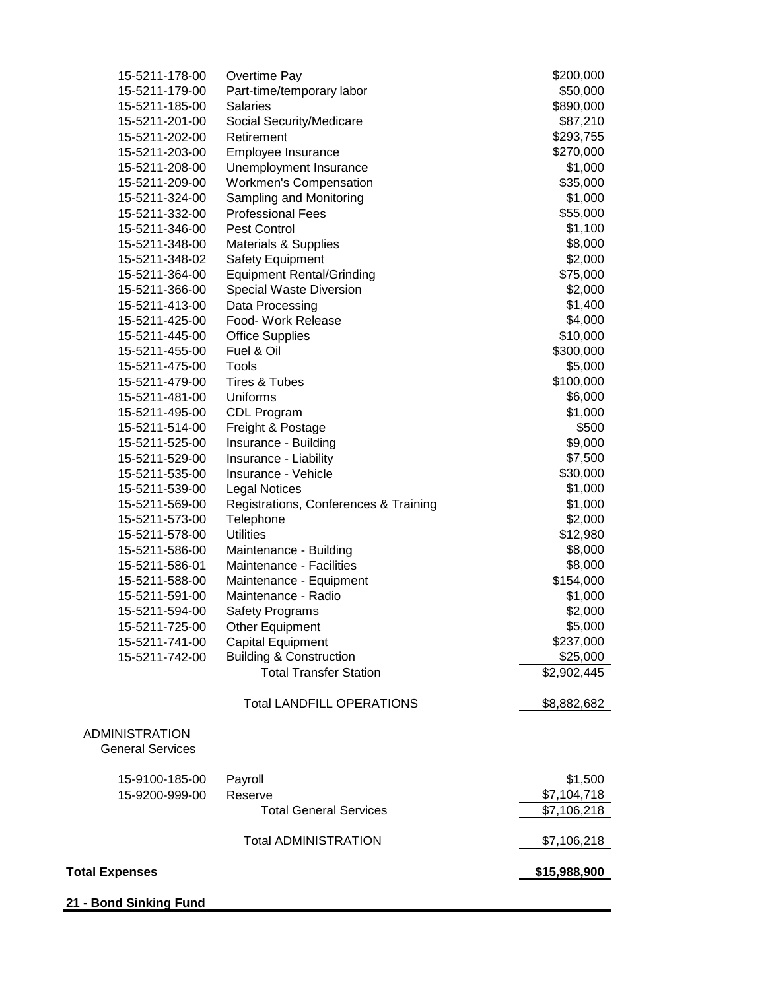| 15-5211-178-00          | Overtime Pay                          | \$200,000    |
|-------------------------|---------------------------------------|--------------|
| 15-5211-179-00          | Part-time/temporary labor             | \$50,000     |
| 15-5211-185-00          | <b>Salaries</b>                       | \$890,000    |
| 15-5211-201-00          | Social Security/Medicare              | \$87,210     |
| 15-5211-202-00          | Retirement                            | \$293,755    |
| 15-5211-203-00          | Employee Insurance                    | \$270,000    |
| 15-5211-208-00          | Unemployment Insurance                | \$1,000      |
| 15-5211-209-00          | <b>Workmen's Compensation</b>         | \$35,000     |
| 15-5211-324-00          | Sampling and Monitoring               | \$1,000      |
| 15-5211-332-00          | <b>Professional Fees</b>              | \$55,000     |
| 15-5211-346-00          | Pest Control                          | \$1,100      |
| 15-5211-348-00          | <b>Materials &amp; Supplies</b>       | \$8,000      |
| 15-5211-348-02          | <b>Safety Equipment</b>               | \$2,000      |
| 15-5211-364-00          | <b>Equipment Rental/Grinding</b>      | \$75,000     |
| 15-5211-366-00          | Special Waste Diversion               | \$2,000      |
| 15-5211-413-00          | Data Processing                       | \$1,400      |
| 15-5211-425-00          | Food- Work Release                    | \$4,000      |
| 15-5211-445-00          | <b>Office Supplies</b>                | \$10,000     |
| 15-5211-455-00          | Fuel & Oil                            | \$300,000    |
| 15-5211-475-00          | Tools                                 | \$5,000      |
| 15-5211-479-00          | Tires & Tubes                         | \$100,000    |
| 15-5211-481-00          | Uniforms                              | \$6,000      |
| 15-5211-495-00          | CDL Program                           | \$1,000      |
| 15-5211-514-00          | Freight & Postage                     | \$500        |
| 15-5211-525-00          | Insurance - Building                  | \$9,000      |
| 15-5211-529-00          | Insurance - Liability                 | \$7,500      |
| 15-5211-535-00          | Insurance - Vehicle                   | \$30,000     |
| 15-5211-539-00          | <b>Legal Notices</b>                  | \$1,000      |
| 15-5211-569-00          | Registrations, Conferences & Training | \$1,000      |
| 15-5211-573-00          | Telephone                             | \$2,000      |
| 15-5211-578-00          | <b>Utilities</b>                      | \$12,980     |
| 15-5211-586-00          | Maintenance - Building                | \$8,000      |
| 15-5211-586-01          | Maintenance - Facilities              | \$8,000      |
| 15-5211-588-00          | Maintenance - Equipment               | \$154,000    |
| 15-5211-591-00          | Maintenance - Radio                   | \$1,000      |
| 15-5211-594-00          | <b>Safety Programs</b>                | \$2,000      |
| 15-5211-725-00          | Other Equipment                       | \$5,000      |
| 15-5211-741-00          | Capital Equipment                     | \$237,000    |
| 15-5211-742-00          | <b>Building &amp; Construction</b>    | \$25,000     |
|                         | <b>Total Transfer Station</b>         | \$2,902,445  |
|                         |                                       |              |
|                         | <b>Total LANDFILL OPERATIONS</b>      | \$8,882,682  |
| <b>ADMINISTRATION</b>   |                                       |              |
| <b>General Services</b> |                                       |              |
| 15-9100-185-00          | Payroll                               | \$1,500      |
| 15-9200-999-00          | Reserve                               | \$7,104,718  |
|                         | <b>Total General Services</b>         | \$7,106,218  |
|                         | <b>Total ADMINISTRATION</b>           | \$7,106,218  |
| <b>Total Expenses</b>   |                                       | \$15,988,900 |
|                         |                                       |              |
| 21 - Bond Sinking Fund  |                                       |              |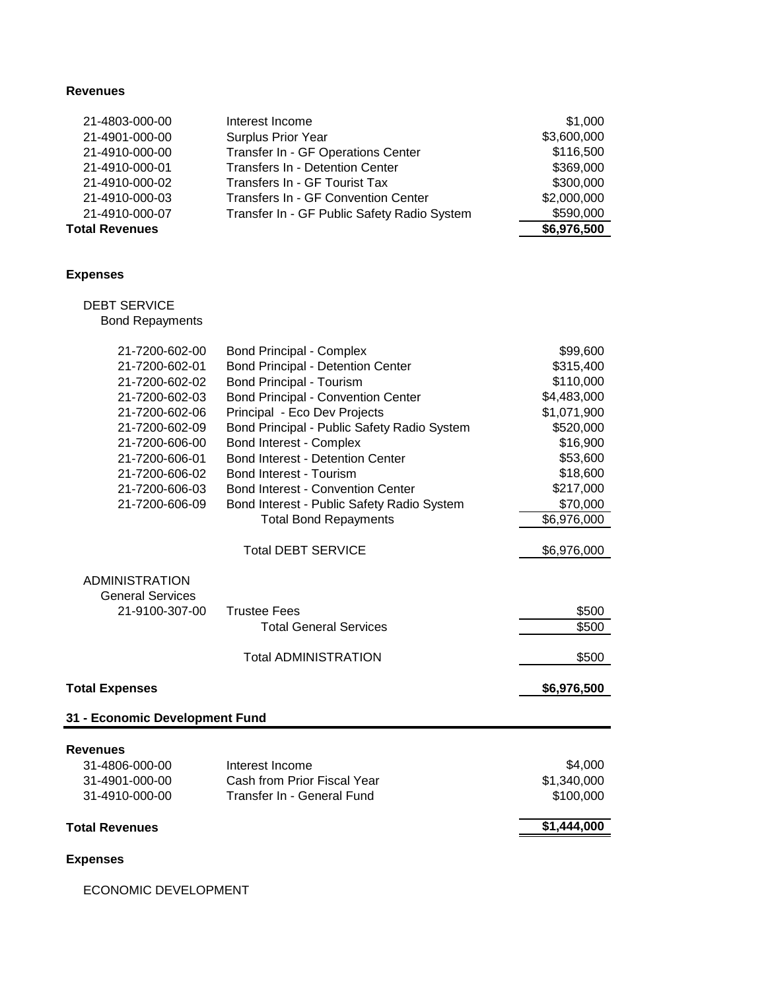## **Revenues**

| 21-4803-000-00        | Interest Income                             | \$1,000     |
|-----------------------|---------------------------------------------|-------------|
| 21-4901-000-00        | <b>Surplus Prior Year</b>                   | \$3,600,000 |
| 21-4910-000-00        | Transfer In - GF Operations Center          | \$116,500   |
| 21-4910-000-01        | Transfers In - Detention Center             | \$369,000   |
| 21-4910-000-02        | Transfers In - GF Tourist Tax               | \$300,000   |
| 21-4910-000-03        | Transfers In - GF Convention Center         | \$2,000,000 |
| 21-4910-000-07        | Transfer In - GF Public Safety Radio System | \$590,000   |
| <b>Total Revenues</b> |                                             | \$6,976,500 |

## **Expenses**

# DEBT SERVICE

Bond Repayments

| 21-7200-602-00                    | <b>Bond Principal - Complex</b>             | \$99,600    |
|-----------------------------------|---------------------------------------------|-------------|
| 21-7200-602-01                    | <b>Bond Principal - Detention Center</b>    | \$315,400   |
| 21-7200-602-02                    | <b>Bond Principal - Tourism</b>             | \$110,000   |
| 21-7200-602-03                    | <b>Bond Principal - Convention Center</b>   | \$4,483,000 |
| 21-7200-602-06                    | Principal - Eco Dev Projects                | \$1,071,900 |
| 21-7200-602-09                    | Bond Principal - Public Safety Radio System | \$520,000   |
| 21-7200-606-00                    | Bond Interest - Complex                     | \$16,900    |
| 21-7200-606-01                    | <b>Bond Interest - Detention Center</b>     | \$53,600    |
| 21-7200-606-02                    | <b>Bond Interest - Tourism</b>              | \$18,600    |
| 21-7200-606-03                    | <b>Bond Interest - Convention Center</b>    | \$217,000   |
| 21-7200-606-09                    | Bond Interest - Public Safety Radio System  | \$70,000    |
|                                   | <b>Total Bond Repayments</b>                | \$6,976,000 |
|                                   | <b>Total DEBT SERVICE</b>                   | \$6,976,000 |
| <b>ADMINISTRATION</b>             |                                             |             |
| <b>General Services</b>           |                                             |             |
| 21-9100-307-00                    | <b>Trustee Fees</b>                         | \$500       |
|                                   | <b>Total General Services</b>               | \$500       |
|                                   | <b>Total ADMINISTRATION</b>                 | \$500       |
| <b>Total Expenses</b>             |                                             | \$6,976,500 |
| 31 - Economic Development Fund    |                                             |             |
|                                   |                                             |             |
| <b>Revenues</b><br>31-4806-000-00 | Interest Income                             | \$4,000     |
| 31-4901-000-00                    | Cash from Prior Fiscal Year                 | \$1,340,000 |
| 31-4910-000-00                    | Transfer In - General Fund                  | \$100,000   |
|                                   |                                             |             |
| <b>Total Revenues</b>             |                                             | \$1,444,000 |
| <b>Expenses</b>                   |                                             |             |

ECONOMIC DEVELOPMENT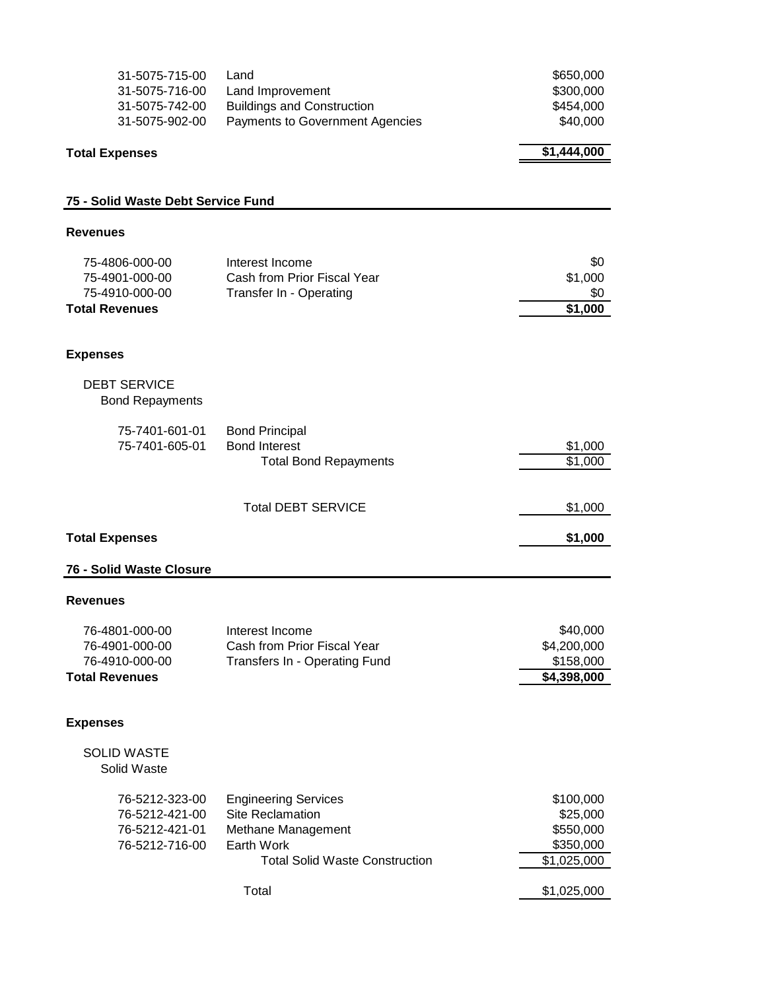| 31-5075-715-00<br>31-5075-716-00<br>31-5075-742-00<br>31-5075-902-00        | Land<br>Land Improvement<br><b>Buildings and Construction</b><br>Payments to Government Agencies                                             | \$650,000<br>\$300,000<br>\$454,000<br>\$40,000                               |
|-----------------------------------------------------------------------------|----------------------------------------------------------------------------------------------------------------------------------------------|-------------------------------------------------------------------------------|
| <b>Total Expenses</b>                                                       |                                                                                                                                              | \$1,444,000                                                                   |
| 75 - Solid Waste Debt Service Fund                                          |                                                                                                                                              |                                                                               |
| <b>Revenues</b>                                                             |                                                                                                                                              |                                                                               |
| 75-4806-000-00<br>75-4901-000-00<br>75-4910-000-00<br><b>Total Revenues</b> | Interest Income<br>Cash from Prior Fiscal Year<br>Transfer In - Operating                                                                    | \$0<br>\$1,000<br>\$0<br>\$1,000                                              |
| <b>Expenses</b>                                                             |                                                                                                                                              |                                                                               |
| <b>DEBT SERVICE</b><br><b>Bond Repayments</b>                               |                                                                                                                                              |                                                                               |
| 75-7401-601-01<br>75-7401-605-01                                            | <b>Bond Principal</b><br><b>Bond Interest</b><br><b>Total Bond Repayments</b>                                                                | \$1,000<br>\$1,000                                                            |
|                                                                             | <b>Total DEBT SERVICE</b>                                                                                                                    | \$1,000                                                                       |
| <b>Total Expenses</b>                                                       |                                                                                                                                              | \$1,000                                                                       |
| 76 - Solid Waste Closure                                                    |                                                                                                                                              |                                                                               |
| <b>Revenues</b>                                                             |                                                                                                                                              |                                                                               |
| 76-4801-000-00<br>76-4901-000-00<br>76-4910-000-00<br><b>Total Revenues</b> | Interest Income<br>Cash from Prior Fiscal Year<br>Transfers In - Operating Fund                                                              | \$40,000<br>\$4,200,000<br>\$158,000<br>\$4,398,000                           |
| <b>Expenses</b>                                                             |                                                                                                                                              |                                                                               |
| <b>SOLID WASTE</b><br>Solid Waste                                           |                                                                                                                                              |                                                                               |
| 76-5212-323-00<br>76-5212-421-00<br>76-5212-421-01<br>76-5212-716-00        | <b>Engineering Services</b><br><b>Site Reclamation</b><br>Methane Management<br>Earth Work<br><b>Total Solid Waste Construction</b><br>Total | \$100,000<br>\$25,000<br>\$550,000<br>\$350,000<br>\$1,025,000<br>\$1,025,000 |
|                                                                             |                                                                                                                                              |                                                                               |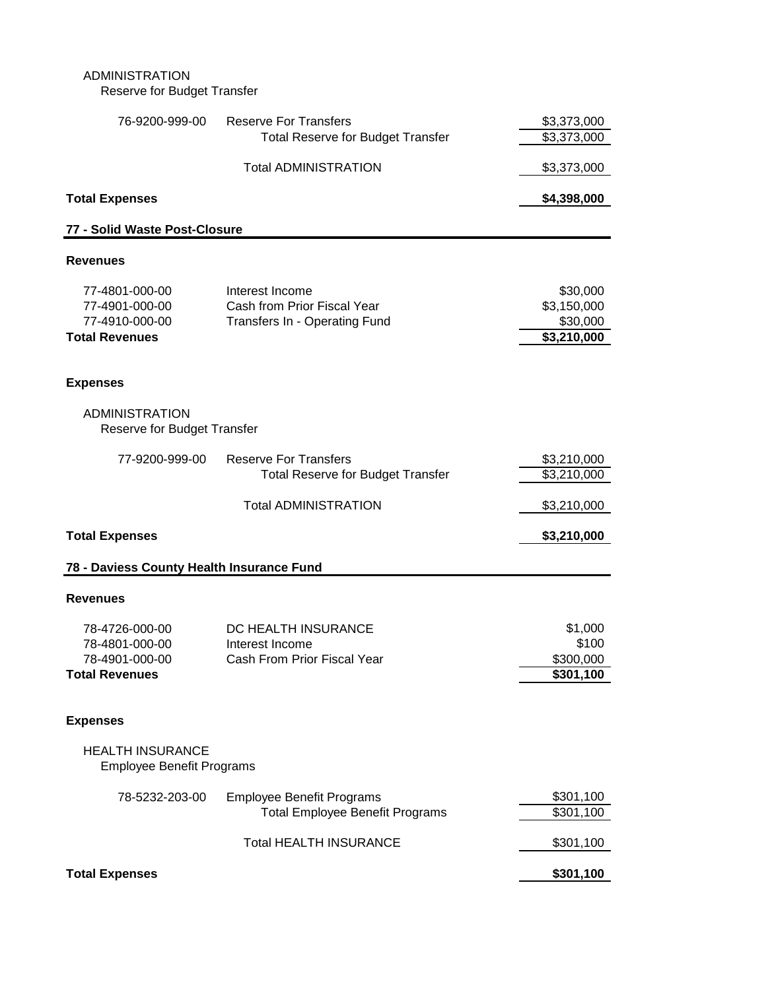## ADMINISTRATION Reserve for Budget Transfer

| 76-9200-999-00                                                              | <b>Reserve For Transfers</b><br><b>Total Reserve for Budget Transfer</b>        | \$3,373,000<br>\$3,373,000                                     |
|-----------------------------------------------------------------------------|---------------------------------------------------------------------------------|----------------------------------------------------------------|
|                                                                             | <b>Total ADMINISTRATION</b>                                                     | \$3,373,000                                                    |
| <b>Total Expenses</b>                                                       |                                                                                 | \$4,398,000                                                    |
| 77 - Solid Waste Post-Closure                                               |                                                                                 |                                                                |
| <b>Revenues</b>                                                             |                                                                                 |                                                                |
| 77-4801-000-00<br>77-4901-000-00<br>77-4910-000-00<br><b>Total Revenues</b> | Interest Income<br>Cash from Prior Fiscal Year<br>Transfers In - Operating Fund | \$30,000<br>\$3,150,000<br>\$30,000<br>$\overline{$3,210,000}$ |
| <b>Expenses</b>                                                             |                                                                                 |                                                                |
| <b>ADMINISTRATION</b><br>Reserve for Budget Transfer                        |                                                                                 |                                                                |
| 77-9200-999-00                                                              | <b>Reserve For Transfers</b><br><b>Total Reserve for Budget Transfer</b>        | \$3,210,000<br>\$3,210,000                                     |
|                                                                             | <b>Total ADMINISTRATION</b>                                                     | \$3,210,000                                                    |
| <b>Total Expenses</b>                                                       |                                                                                 | \$3,210,000                                                    |
| 78 - Daviess County Health Insurance Fund                                   |                                                                                 |                                                                |
| <b>Revenues</b>                                                             |                                                                                 |                                                                |
| 78-4726-000-00<br>78-4801-000-00<br>78-4901-000-00<br><b>Total Revenues</b> | DC HEALTH INSURANCE<br>Interest Income<br>Cash From Prior Fiscal Year           | \$1,000<br>\$100<br>\$300,000<br>\$301,100                     |
| <b>Expenses</b>                                                             |                                                                                 |                                                                |
| <b>HEALTH INSURANCE</b><br><b>Employee Benefit Programs</b>                 |                                                                                 |                                                                |
| 78-5232-203-00                                                              | <b>Employee Benefit Programs</b><br><b>Total Employee Benefit Programs</b>      | \$301,100<br>\$301,100                                         |
|                                                                             | <b>Total HEALTH INSURANCE</b>                                                   | \$301,100                                                      |
| <b>Total Expenses</b>                                                       |                                                                                 | \$301,100                                                      |